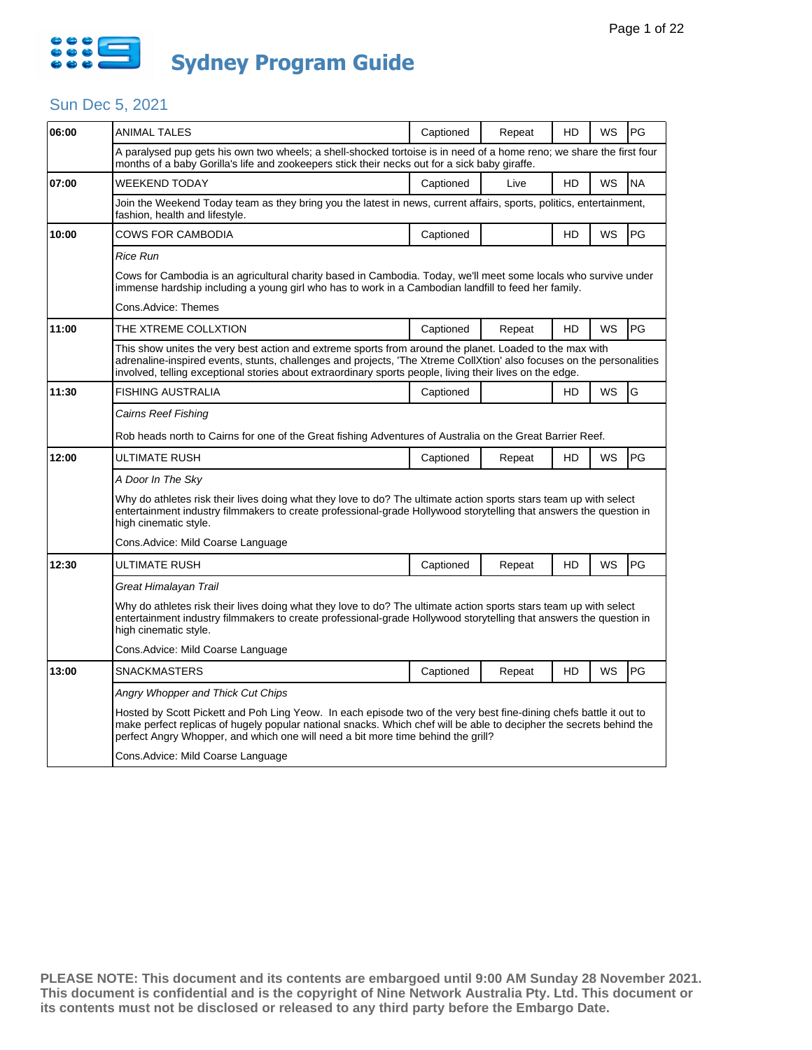

| 06:00 | ANIMAL TALES                                                                                                                                                                                                                                                                                                                                 | Captioned                                                                                                 | Repeat | HD | WS        | PG        |  |  |  |  |
|-------|----------------------------------------------------------------------------------------------------------------------------------------------------------------------------------------------------------------------------------------------------------------------------------------------------------------------------------------------|-----------------------------------------------------------------------------------------------------------|--------|----|-----------|-----------|--|--|--|--|
|       | A paralysed pup gets his own two wheels; a shell-shocked tortoise is in need of a home reno; we share the first four<br>months of a baby Gorilla's life and zookeepers stick their necks out for a sick baby giraffe.                                                                                                                        |                                                                                                           |        |    |           |           |  |  |  |  |
| 07:00 | <b>WEEKEND TODAY</b>                                                                                                                                                                                                                                                                                                                         | Captioned                                                                                                 | Live   | HD | <b>WS</b> | <b>NA</b> |  |  |  |  |
|       | Join the Weekend Today team as they bring you the latest in news, current affairs, sports, politics, entertainment,<br>fashion, health and lifestyle.                                                                                                                                                                                        |                                                                                                           |        |    |           |           |  |  |  |  |
| 10:00 | COWS FOR CAMBODIA                                                                                                                                                                                                                                                                                                                            | Captioned                                                                                                 |        | HD | WS        | <b>PG</b> |  |  |  |  |
|       | Rice Run                                                                                                                                                                                                                                                                                                                                     |                                                                                                           |        |    |           |           |  |  |  |  |
|       | Cows for Cambodia is an agricultural charity based in Cambodia. Today, we'll meet some locals who survive under<br>immense hardship including a young girl who has to work in a Cambodian landfill to feed her family.                                                                                                                       |                                                                                                           |        |    |           |           |  |  |  |  |
|       | Cons.Advice: Themes                                                                                                                                                                                                                                                                                                                          |                                                                                                           |        |    |           |           |  |  |  |  |
| 11:00 | THE XTREME COLLXTION                                                                                                                                                                                                                                                                                                                         | Captioned                                                                                                 | Repeat | HD | <b>WS</b> | <b>PG</b> |  |  |  |  |
|       | This show unites the very best action and extreme sports from around the planet. Loaded to the max with<br>adrenaline-inspired events, stunts, challenges and projects, 'The Xtreme CollXtion' also focuses on the personalities<br>involved, telling exceptional stories about extraordinary sports people, living their lives on the edge. |                                                                                                           |        |    |           |           |  |  |  |  |
| 11:30 | <b>FISHING AUSTRALIA</b>                                                                                                                                                                                                                                                                                                                     | Captioned                                                                                                 |        | HD | <b>WS</b> | G         |  |  |  |  |
|       | Cairns Reef Fishing                                                                                                                                                                                                                                                                                                                          |                                                                                                           |        |    |           |           |  |  |  |  |
|       |                                                                                                                                                                                                                                                                                                                                              | Rob heads north to Cairns for one of the Great fishing Adventures of Australia on the Great Barrier Reef. |        |    |           |           |  |  |  |  |
| 12:00 | ULTIMATE RUSH                                                                                                                                                                                                                                                                                                                                | Captioned                                                                                                 | Repeat | HD | <b>WS</b> | <b>PG</b> |  |  |  |  |
|       | A Door In The Sky                                                                                                                                                                                                                                                                                                                            |                                                                                                           |        |    |           |           |  |  |  |  |
|       | Why do athletes risk their lives doing what they love to do? The ultimate action sports stars team up with select<br>entertainment industry filmmakers to create professional-grade Hollywood storytelling that answers the question in<br>high cinematic style.                                                                             |                                                                                                           |        |    |           |           |  |  |  |  |
|       | Cons.Advice: Mild Coarse Language                                                                                                                                                                                                                                                                                                            |                                                                                                           |        |    |           |           |  |  |  |  |
| 12:30 | ULTIMATE RUSH                                                                                                                                                                                                                                                                                                                                | Captioned                                                                                                 | Repeat | HD | <b>WS</b> | PG        |  |  |  |  |
|       | Great Himalayan Trail                                                                                                                                                                                                                                                                                                                        |                                                                                                           |        |    |           |           |  |  |  |  |
|       | Why do athletes risk their lives doing what they love to do? The ultimate action sports stars team up with select<br>entertainment industry filmmakers to create professional-grade Hollywood storytelling that answers the question in<br>high cinematic style.                                                                             |                                                                                                           |        |    |           |           |  |  |  |  |
|       | Cons.Advice: Mild Coarse Language                                                                                                                                                                                                                                                                                                            |                                                                                                           |        |    |           |           |  |  |  |  |
| 13:00 | <b>SNACKMASTERS</b>                                                                                                                                                                                                                                                                                                                          | Captioned                                                                                                 | Repeat | HD | WS        | <b>PG</b> |  |  |  |  |
|       | Angry Whopper and Thick Cut Chips                                                                                                                                                                                                                                                                                                            |                                                                                                           |        |    |           |           |  |  |  |  |
|       | Hosted by Scott Pickett and Poh Ling Yeow. In each episode two of the very best fine-dining chefs battle it out to<br>make perfect replicas of hugely popular national snacks. Which chef will be able to decipher the secrets behind the<br>perfect Angry Whopper, and which one will need a bit more time behind the grill?                |                                                                                                           |        |    |           |           |  |  |  |  |
|       | Cons. Advice: Mild Coarse Language                                                                                                                                                                                                                                                                                                           |                                                                                                           |        |    |           |           |  |  |  |  |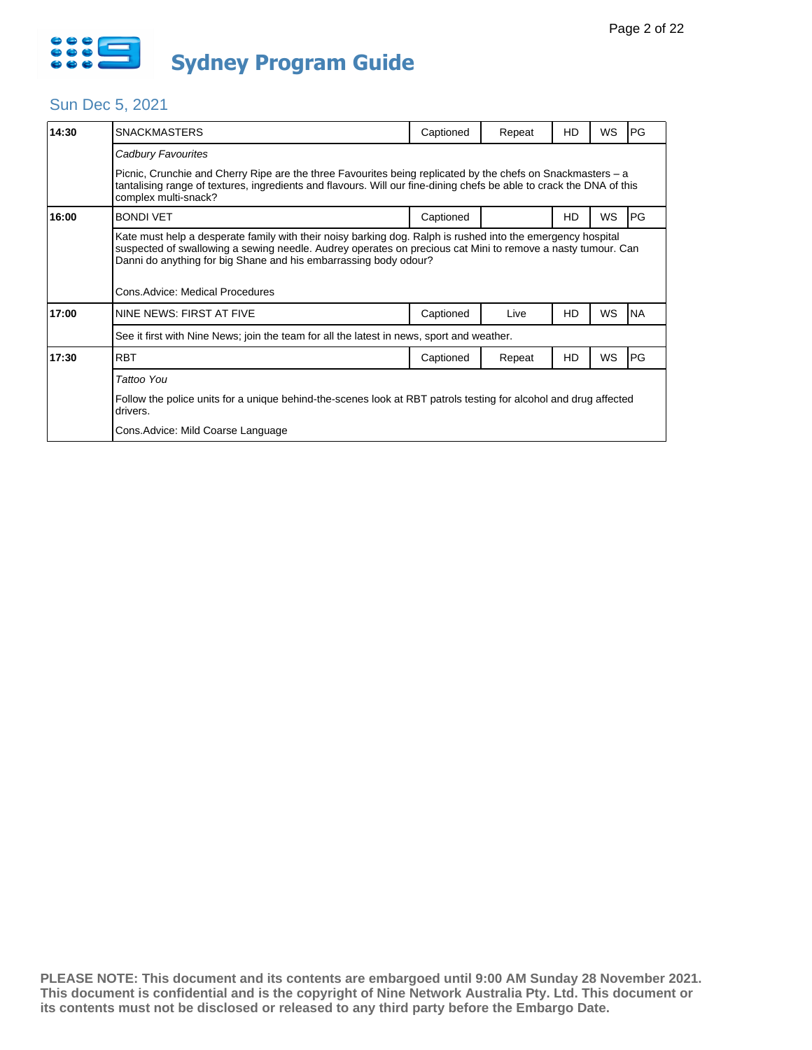

| 14:30 | <b>SNACKMASTERS</b>                                                                                                                                                                                                                                                                                                                | Captioned | Repeat | HD | WS        | PG        |  |  |  |  |
|-------|------------------------------------------------------------------------------------------------------------------------------------------------------------------------------------------------------------------------------------------------------------------------------------------------------------------------------------|-----------|--------|----|-----------|-----------|--|--|--|--|
|       | Cadbury Favourites                                                                                                                                                                                                                                                                                                                 |           |        |    |           |           |  |  |  |  |
|       | Picnic, Crunchie and Cherry Ripe are the three Favourites being replicated by the chefs on Snackmasters – a<br>tantalising range of textures, ingredients and flavours. Will our fine-dining chefs be able to crack the DNA of this<br>complex multi-snack?                                                                        |           |        |    |           |           |  |  |  |  |
| 16:00 | <b>BONDI VET</b>                                                                                                                                                                                                                                                                                                                   | Captioned |        | HD | WS        | PG        |  |  |  |  |
|       | Kate must help a desperate family with their noisy barking dog. Ralph is rushed into the emergency hospital<br>suspected of swallowing a sewing needle. Audrey operates on precious cat Mini to remove a nasty tumour. Can<br>Danni do anything for big Shane and his embarrassing body odour?<br>Cons. Advice: Medical Procedures |           |        |    |           |           |  |  |  |  |
| 17:00 | NINE NEWS: FIRST AT FIVE                                                                                                                                                                                                                                                                                                           | Captioned | Live   | HD | <b>WS</b> | <b>NA</b> |  |  |  |  |
|       | See it first with Nine News; join the team for all the latest in news, sport and weather.                                                                                                                                                                                                                                          |           |        |    |           |           |  |  |  |  |
| 17:30 | <b>RBT</b>                                                                                                                                                                                                                                                                                                                         | Captioned | Repeat | HD | WS        | PG        |  |  |  |  |
|       | Tattoo You                                                                                                                                                                                                                                                                                                                         |           |        |    |           |           |  |  |  |  |
|       | Follow the police units for a unique behind-the-scenes look at RBT patrols testing for alcohol and drug affected<br>drivers.                                                                                                                                                                                                       |           |        |    |           |           |  |  |  |  |
|       | Cons. Advice: Mild Coarse Language                                                                                                                                                                                                                                                                                                 |           |        |    |           |           |  |  |  |  |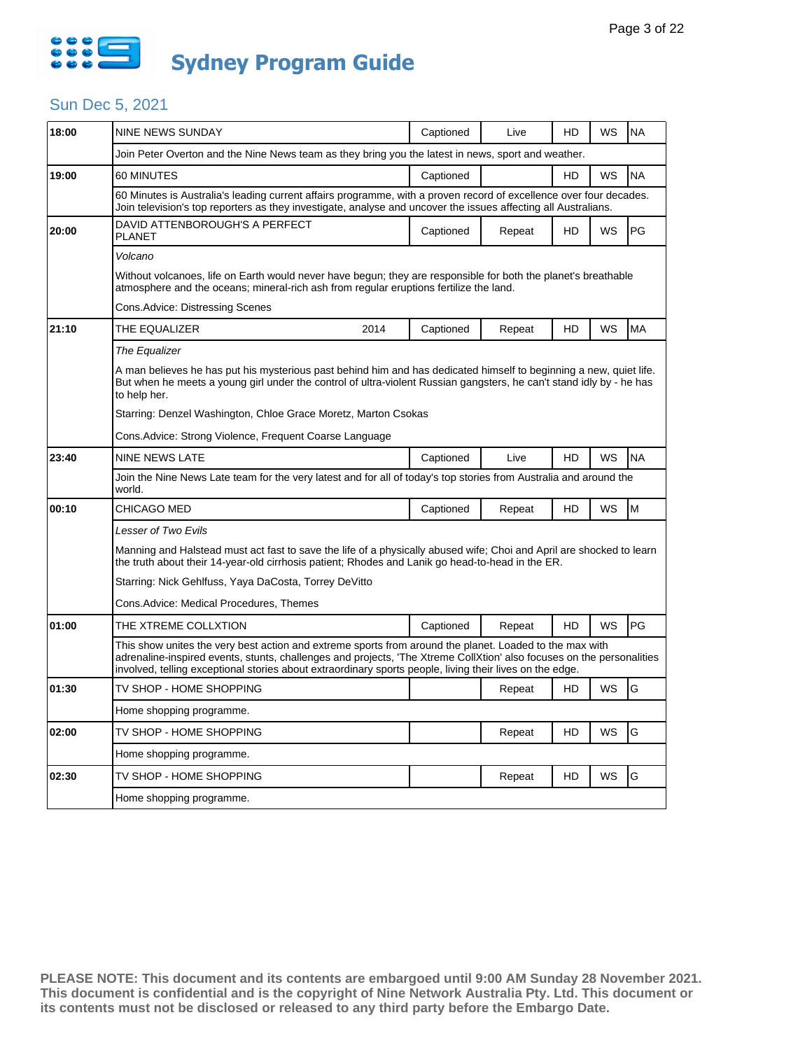

| 18:00 | <b>NINE NEWS SUNDAY</b>                                                                                                                                                                                                                                                                                                                      |      | Captioned | Live   | HD | WS | <b>NA</b> |  |  |
|-------|----------------------------------------------------------------------------------------------------------------------------------------------------------------------------------------------------------------------------------------------------------------------------------------------------------------------------------------------|------|-----------|--------|----|----|-----------|--|--|
|       | Join Peter Overton and the Nine News team as they bring you the latest in news, sport and weather.                                                                                                                                                                                                                                           |      |           |        |    |    |           |  |  |
| 19:00 | 60 MINUTES                                                                                                                                                                                                                                                                                                                                   |      | Captioned |        | HD | WS | <b>NA</b> |  |  |
|       | 60 Minutes is Australia's leading current affairs programme, with a proven record of excellence over four decades.<br>Join television's top reporters as they investigate, analyse and uncover the issues affecting all Australians.                                                                                                         |      |           |        |    |    |           |  |  |
| 20:00 | DAVID ATTENBOROUGH'S A PERFECT<br>PLANET                                                                                                                                                                                                                                                                                                     |      | Captioned | Repeat | HD | WS | PG        |  |  |
|       | Volcano                                                                                                                                                                                                                                                                                                                                      |      |           |        |    |    |           |  |  |
|       | Without volcanoes, life on Earth would never have begun; they are responsible for both the planet's breathable<br>atmosphere and the oceans; mineral-rich ash from regular eruptions fertilize the land.                                                                                                                                     |      |           |        |    |    |           |  |  |
|       | Cons.Advice: Distressing Scenes                                                                                                                                                                                                                                                                                                              |      |           |        |    |    |           |  |  |
| 21:10 | THE EQUALIZER                                                                                                                                                                                                                                                                                                                                | 2014 | Captioned | Repeat | HD | WS | <b>MA</b> |  |  |
|       | The Equalizer                                                                                                                                                                                                                                                                                                                                |      |           |        |    |    |           |  |  |
|       | A man believes he has put his mysterious past behind him and has dedicated himself to beginning a new, quiet life.<br>But when he meets a young girl under the control of ultra-violent Russian gangsters, he can't stand idly by - he has<br>to help her.                                                                                   |      |           |        |    |    |           |  |  |
|       | Starring: Denzel Washington, Chloe Grace Moretz, Marton Csokas                                                                                                                                                                                                                                                                               |      |           |        |    |    |           |  |  |
|       | Cons.Advice: Strong Violence, Frequent Coarse Language                                                                                                                                                                                                                                                                                       |      |           |        |    |    |           |  |  |
| 23:40 | <b>NINE NEWS LATE</b>                                                                                                                                                                                                                                                                                                                        |      | Captioned | Live   | HD | WS | <b>NA</b> |  |  |
|       | Join the Nine News Late team for the very latest and for all of today's top stories from Australia and around the<br>world.                                                                                                                                                                                                                  |      |           |        |    |    |           |  |  |
| 00:10 | CHICAGO MED                                                                                                                                                                                                                                                                                                                                  |      | Captioned | Repeat | HD | WS | M         |  |  |
|       | Lesser of Two Evils                                                                                                                                                                                                                                                                                                                          |      |           |        |    |    |           |  |  |
|       | Manning and Halstead must act fast to save the life of a physically abused wife; Choi and April are shocked to learn<br>the truth about their 14-year-old cirrhosis patient; Rhodes and Lanik go head-to-head in the ER.                                                                                                                     |      |           |        |    |    |           |  |  |
|       | Starring: Nick Gehlfuss, Yaya DaCosta, Torrey DeVitto                                                                                                                                                                                                                                                                                        |      |           |        |    |    |           |  |  |
|       | Cons.Advice: Medical Procedures, Themes                                                                                                                                                                                                                                                                                                      |      |           |        |    |    |           |  |  |
| 01:00 | THE XTREME COLLXTION                                                                                                                                                                                                                                                                                                                         |      | Captioned | Repeat | HD | WS | PG        |  |  |
|       | This show unites the very best action and extreme sports from around the planet. Loaded to the max with<br>adrenaline-inspired events, stunts, challenges and projects, 'The Xtreme CollXtion' also focuses on the personalities<br>involved, telling exceptional stories about extraordinary sports people, living their lives on the edge. |      |           |        |    |    |           |  |  |
| 01:30 | TV SHOP - HOME SHOPPING                                                                                                                                                                                                                                                                                                                      |      |           | Repeat | HD | WS | G         |  |  |
|       | Home shopping programme.                                                                                                                                                                                                                                                                                                                     |      |           |        |    |    |           |  |  |
| 02:00 | TV SHOP - HOME SHOPPING                                                                                                                                                                                                                                                                                                                      |      |           | Repeat | HD | WS | G         |  |  |
|       | Home shopping programme.                                                                                                                                                                                                                                                                                                                     |      |           |        |    |    |           |  |  |
| 02:30 | TV SHOP - HOME SHOPPING                                                                                                                                                                                                                                                                                                                      |      |           | Repeat | HD | WS | G         |  |  |
|       | Home shopping programme.                                                                                                                                                                                                                                                                                                                     |      |           |        |    |    |           |  |  |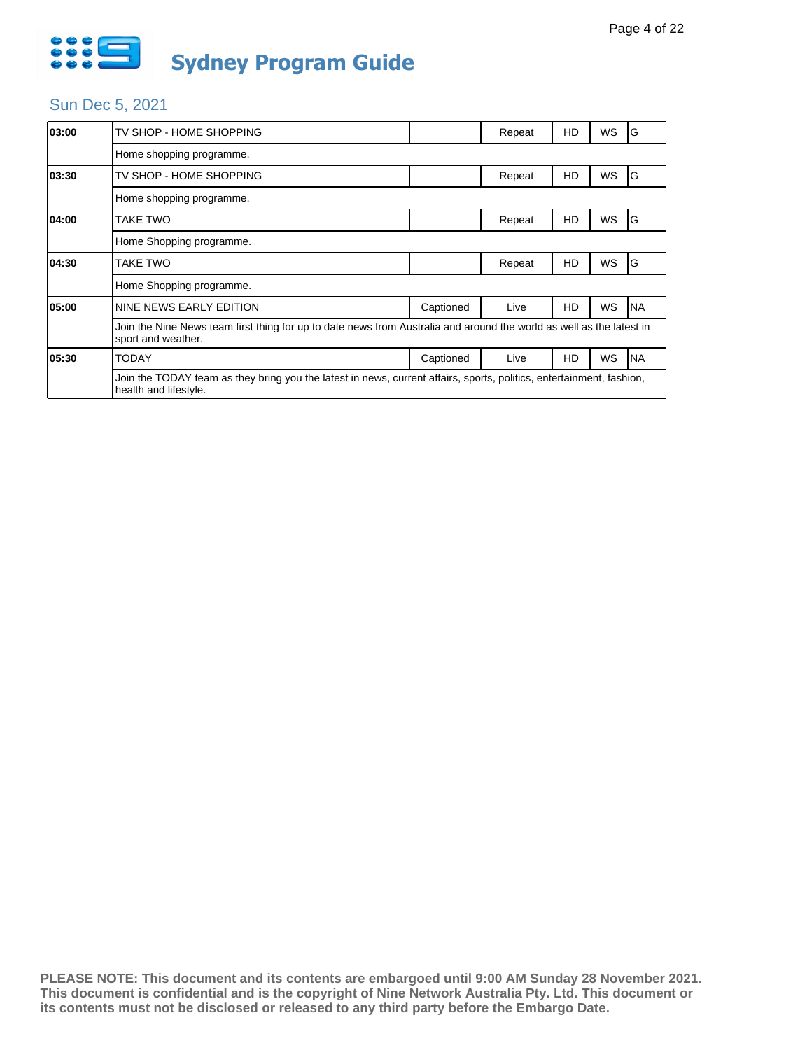

| 03:00 | TV SHOP - HOME SHOPPING                                                                                                                       |           | Repeat | HD | WS | G         |  |  |  |
|-------|-----------------------------------------------------------------------------------------------------------------------------------------------|-----------|--------|----|----|-----------|--|--|--|
|       | Home shopping programme.                                                                                                                      |           |        |    |    |           |  |  |  |
| 03:30 | TV SHOP - HOME SHOPPING                                                                                                                       |           | Repeat | HD | WS | G         |  |  |  |
|       | Home shopping programme.                                                                                                                      |           |        |    |    |           |  |  |  |
| 04:00 | TAKE TWO                                                                                                                                      |           | Repeat | HD | WS | G         |  |  |  |
|       | Home Shopping programme.                                                                                                                      |           |        |    |    |           |  |  |  |
| 04:30 | TAKE TWO                                                                                                                                      |           | Repeat | HD | WS | G         |  |  |  |
|       | Home Shopping programme.                                                                                                                      |           |        |    |    |           |  |  |  |
| 05:00 | NINE NEWS EARLY EDITION                                                                                                                       | Captioned | Live   | HD | WS | <b>NA</b> |  |  |  |
|       | Join the Nine News team first thing for up to date news from Australia and around the world as well as the latest in<br>sport and weather.    |           |        |    |    |           |  |  |  |
| 05:30 | TODAY                                                                                                                                         | Captioned | Live   | HD | WS | <b>NA</b> |  |  |  |
|       | Join the TODAY team as they bring you the latest in news, current affairs, sports, politics, entertainment, fashion,<br>health and lifestyle. |           |        |    |    |           |  |  |  |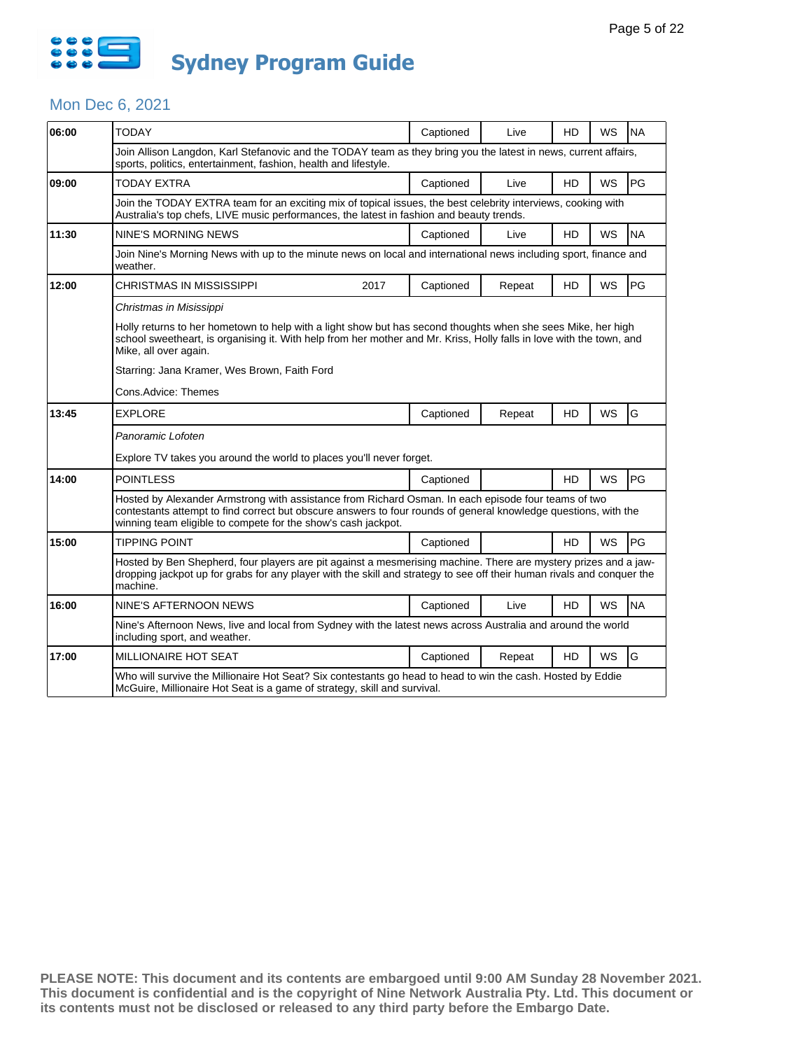

### Mon Dec 6, 2021

| 06:00 | <b>TODAY</b>                                                                                                                                                                                                                                                                            |      | Captioned | Live   | <b>HD</b> | WS        | <b>NA</b> |  |  |
|-------|-----------------------------------------------------------------------------------------------------------------------------------------------------------------------------------------------------------------------------------------------------------------------------------------|------|-----------|--------|-----------|-----------|-----------|--|--|
|       | Join Allison Langdon, Karl Stefanovic and the TODAY team as they bring you the latest in news, current affairs,<br>sports, politics, entertainment, fashion, health and lifestyle.                                                                                                      |      |           |        |           |           |           |  |  |
| 09:00 | TODAY EXTRA                                                                                                                                                                                                                                                                             |      | Captioned | Live   | <b>HD</b> | <b>WS</b> | PG        |  |  |
|       | Join the TODAY EXTRA team for an exciting mix of topical issues, the best celebrity interviews, cooking with<br>Australia's top chefs, LIVE music performances, the latest in fashion and beauty trends.                                                                                |      |           |        |           |           |           |  |  |
| 11:30 | <b>NINE'S MORNING NEWS</b>                                                                                                                                                                                                                                                              |      | Captioned | Live   | <b>HD</b> | WS        | <b>NA</b> |  |  |
|       | Join Nine's Morning News with up to the minute news on local and international news including sport, finance and<br>weather.                                                                                                                                                            |      |           |        |           |           |           |  |  |
| 12:00 | CHRISTMAS IN MISSISSIPPI                                                                                                                                                                                                                                                                | 2017 | Captioned | Repeat | HD.       | WS        | PG        |  |  |
|       | Christmas in Misissippi                                                                                                                                                                                                                                                                 |      |           |        |           |           |           |  |  |
|       | Holly returns to her hometown to help with a light show but has second thoughts when she sees Mike, her high<br>school sweetheart, is organising it. With help from her mother and Mr. Kriss, Holly falls in love with the town, and<br>Mike, all over again.                           |      |           |        |           |           |           |  |  |
|       | Starring: Jana Kramer, Wes Brown, Faith Ford                                                                                                                                                                                                                                            |      |           |        |           |           |           |  |  |
|       | Cons.Advice: Themes                                                                                                                                                                                                                                                                     |      |           |        |           |           |           |  |  |
| 13:45 | <b>EXPLORE</b>                                                                                                                                                                                                                                                                          |      | Captioned | Repeat | HD        | WS        | G         |  |  |
|       | Panoramic Lofoten                                                                                                                                                                                                                                                                       |      |           |        |           |           |           |  |  |
|       | Explore TV takes you around the world to places you'll never forget.                                                                                                                                                                                                                    |      |           |        |           |           |           |  |  |
| 14:00 | <b>POINTLESS</b>                                                                                                                                                                                                                                                                        |      | Captioned |        | HD        | <b>WS</b> | PG        |  |  |
|       | Hosted by Alexander Armstrong with assistance from Richard Osman. In each episode four teams of two<br>contestants attempt to find correct but obscure answers to four rounds of general knowledge questions, with the<br>winning team eligible to compete for the show's cash jackpot. |      |           |        |           |           |           |  |  |
| 15:00 | <b>TIPPING POINT</b>                                                                                                                                                                                                                                                                    |      | Captioned |        | <b>HD</b> | <b>WS</b> | PG        |  |  |
|       | Hosted by Ben Shepherd, four players are pit against a mesmerising machine. There are mystery prizes and a jaw-<br>dropping jackpot up for grabs for any player with the skill and strategy to see off their human rivals and conquer the<br>machine.                                   |      |           |        |           |           |           |  |  |
| 16:00 | NINE'S AFTERNOON NEWS                                                                                                                                                                                                                                                                   |      | Captioned | Live   | HD        | WS        | <b>NA</b> |  |  |
|       | Nine's Afternoon News, live and local from Sydney with the latest news across Australia and around the world<br>including sport, and weather.                                                                                                                                           |      |           |        |           |           |           |  |  |
| 17:00 | MILLIONAIRE HOT SEAT                                                                                                                                                                                                                                                                    |      | Captioned | Repeat | <b>HD</b> | WS        | G         |  |  |
|       | Who will survive the Millionaire Hot Seat? Six contestants go head to head to win the cash. Hosted by Eddie<br>McGuire, Millionaire Hot Seat is a game of strategy, skill and survival.                                                                                                 |      |           |        |           |           |           |  |  |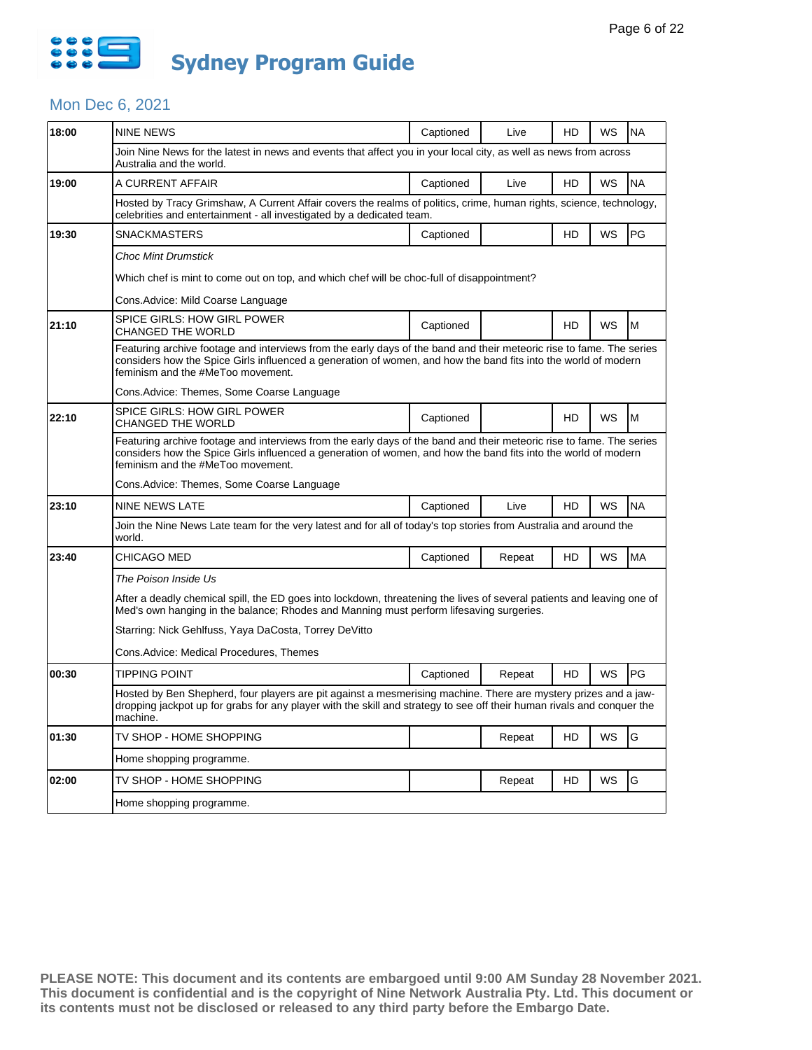

### Mon Dec 6, 2021

| 18:00 | <b>NINE NEWS</b>                                                                                                                                                                                                                                                            | Captioned | Live   | HD        | WS        | <b>NA</b> |  |  |  |
|-------|-----------------------------------------------------------------------------------------------------------------------------------------------------------------------------------------------------------------------------------------------------------------------------|-----------|--------|-----------|-----------|-----------|--|--|--|
|       | Join Nine News for the latest in news and events that affect you in your local city, as well as news from across<br>Australia and the world.                                                                                                                                |           |        |           |           |           |  |  |  |
| 19:00 | A CURRENT AFFAIR                                                                                                                                                                                                                                                            | Captioned | Live   | HD        | WS        | <b>NA</b> |  |  |  |
|       | Hosted by Tracy Grimshaw, A Current Affair covers the realms of politics, crime, human rights, science, technology,<br>celebrities and entertainment - all investigated by a dedicated team.                                                                                |           |        |           |           |           |  |  |  |
| 19:30 | <b>SNACKMASTERS</b>                                                                                                                                                                                                                                                         | Captioned |        | HD        | WS        | PG        |  |  |  |
|       | <b>Choc Mint Drumstick</b>                                                                                                                                                                                                                                                  |           |        |           |           |           |  |  |  |
|       | Which chef is mint to come out on top, and which chef will be choc-full of disappointment?                                                                                                                                                                                  |           |        |           |           |           |  |  |  |
|       | Cons.Advice: Mild Coarse Language                                                                                                                                                                                                                                           |           |        |           |           |           |  |  |  |
| 21:10 | SPICE GIRLS: HOW GIRL POWER<br>CHANGED THE WORLD                                                                                                                                                                                                                            | Captioned |        | <b>HD</b> | WS        | M         |  |  |  |
|       | Featuring archive footage and interviews from the early days of the band and their meteoric rise to fame. The series<br>considers how the Spice Girls influenced a generation of women, and how the band fits into the world of modern<br>feminism and the #MeToo movement. |           |        |           |           |           |  |  |  |
|       | Cons. Advice: Themes, Some Coarse Language                                                                                                                                                                                                                                  |           |        |           |           |           |  |  |  |
| 22:10 | SPICE GIRLS: HOW GIRL POWER<br>CHANGED THE WORLD                                                                                                                                                                                                                            | Captioned |        | HD        | <b>WS</b> | M         |  |  |  |
|       | Featuring archive footage and interviews from the early days of the band and their meteoric rise to fame. The series<br>considers how the Spice Girls influenced a generation of women, and how the band fits into the world of modern<br>feminism and the #MeToo movement. |           |        |           |           |           |  |  |  |
|       | Cons. Advice: Themes, Some Coarse Language                                                                                                                                                                                                                                  |           |        |           |           |           |  |  |  |
| 23:10 | NINE NEWS LATE                                                                                                                                                                                                                                                              | Captioned | Live   | HD        | WS        | <b>NA</b> |  |  |  |
|       | Join the Nine News Late team for the very latest and for all of today's top stories from Australia and around the<br>world.                                                                                                                                                 |           |        |           |           |           |  |  |  |
| 23:40 | CHICAGO MED                                                                                                                                                                                                                                                                 | Captioned | Repeat | HD        | WS        | <b>MA</b> |  |  |  |
|       | The Poison Inside Us                                                                                                                                                                                                                                                        |           |        |           |           |           |  |  |  |
|       | After a deadly chemical spill, the ED goes into lockdown, threatening the lives of several patients and leaving one of<br>Med's own hanging in the balance; Rhodes and Manning must perform lifesaving surgeries.                                                           |           |        |           |           |           |  |  |  |
|       | Starring: Nick Gehlfuss, Yaya DaCosta, Torrey DeVitto                                                                                                                                                                                                                       |           |        |           |           |           |  |  |  |
|       | Cons.Advice: Medical Procedures, Themes                                                                                                                                                                                                                                     |           |        |           |           |           |  |  |  |
| 00:30 | <b>TIPPING POINT</b>                                                                                                                                                                                                                                                        | Captioned | Repeat | HD        | WS        | PG        |  |  |  |
|       | Hosted by Ben Shepherd, four players are pit against a mesmerising machine. There are mystery prizes and a jaw-<br>dropping jackpot up for grabs for any player with the skill and strategy to see off their human rivals and conquer the<br>machine.                       |           |        |           |           |           |  |  |  |
| 01:30 | TV SHOP - HOME SHOPPING                                                                                                                                                                                                                                                     |           | Repeat | HD        | WS        | G         |  |  |  |
|       | Home shopping programme.                                                                                                                                                                                                                                                    |           |        |           |           |           |  |  |  |
| 02:00 | TV SHOP - HOME SHOPPING                                                                                                                                                                                                                                                     |           | Repeat | HD        | WS        | G         |  |  |  |
|       | Home shopping programme.                                                                                                                                                                                                                                                    |           |        |           |           |           |  |  |  |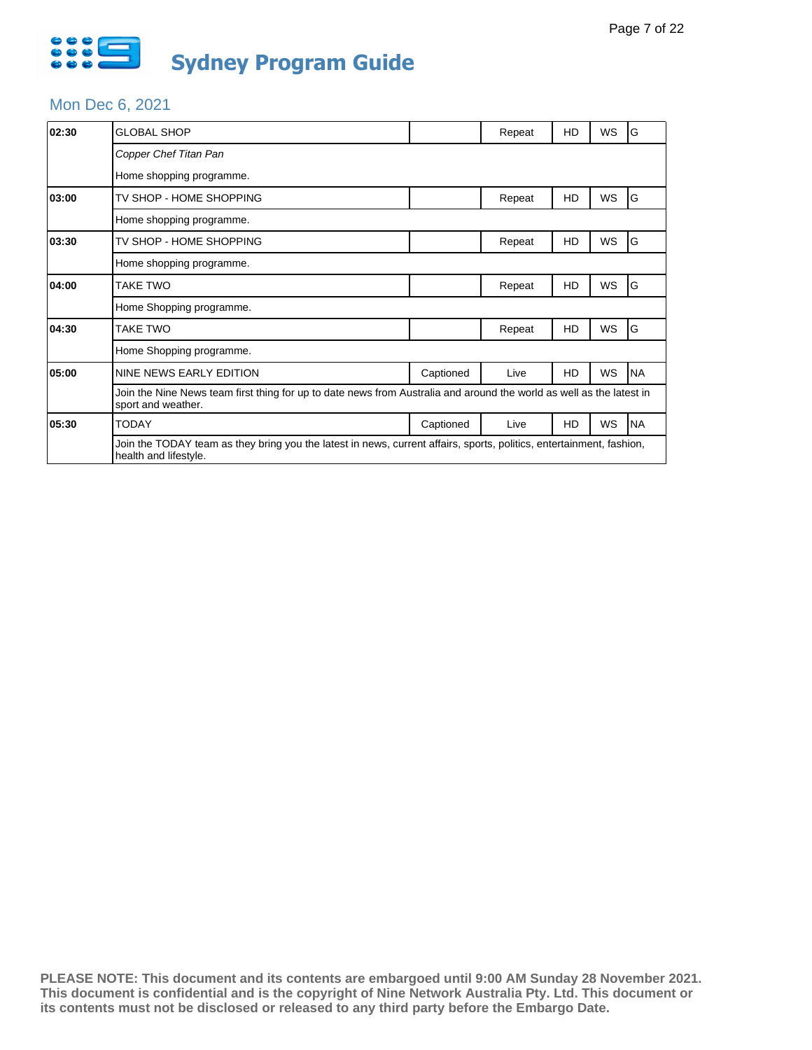

### Mon Dec 6, 2021

| 02:30 | <b>GLOBAL SHOP</b>                                                                                                                            |           | Repeat | HD | WS | G         |  |  |
|-------|-----------------------------------------------------------------------------------------------------------------------------------------------|-----------|--------|----|----|-----------|--|--|
|       | Copper Chef Titan Pan                                                                                                                         |           |        |    |    |           |  |  |
|       | Home shopping programme.                                                                                                                      |           |        |    |    |           |  |  |
| 03:00 | TV SHOP - HOME SHOPPING                                                                                                                       |           | Repeat | HD | WS | G         |  |  |
|       | Home shopping programme.                                                                                                                      |           |        |    |    |           |  |  |
| 03:30 | TV SHOP - HOME SHOPPING                                                                                                                       |           | Repeat | HD | WS | G         |  |  |
|       | Home shopping programme.                                                                                                                      |           |        |    |    |           |  |  |
| 04:00 | <b>TAKE TWO</b>                                                                                                                               |           | Repeat | HD | WS | G         |  |  |
|       | Home Shopping programme.                                                                                                                      |           |        |    |    |           |  |  |
| 04:30 | <b>TAKE TWO</b>                                                                                                                               |           | Repeat | HD | WS | G         |  |  |
|       | Home Shopping programme.                                                                                                                      |           |        |    |    |           |  |  |
| 05:00 | NINE NEWS EARLY EDITION                                                                                                                       | Captioned | Live   | HD | WS | <b>NA</b> |  |  |
|       | Join the Nine News team first thing for up to date news from Australia and around the world as well as the latest in<br>sport and weather.    |           |        |    |    |           |  |  |
| 05:30 | <b>TODAY</b>                                                                                                                                  | Captioned | Live   | HD | WS | <b>NA</b> |  |  |
|       | Join the TODAY team as they bring you the latest in news, current affairs, sports, politics, entertainment, fashion,<br>health and lifestyle. |           |        |    |    |           |  |  |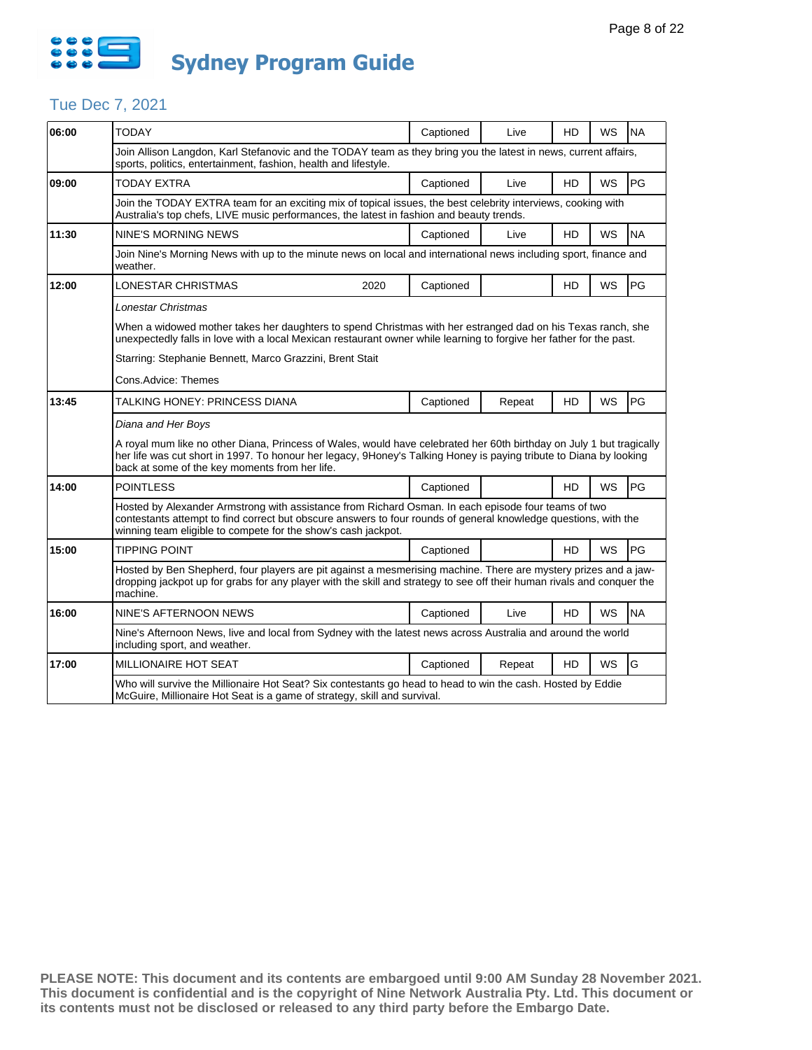

# Tue Dec 7, 2021

| 06:00 | <b>TODAY</b>                                                                                                                                                                                                                                                                                 | Captioned | Live   | HD        | WS        | <b>NA</b> |  |  |  |
|-------|----------------------------------------------------------------------------------------------------------------------------------------------------------------------------------------------------------------------------------------------------------------------------------------------|-----------|--------|-----------|-----------|-----------|--|--|--|
|       | Join Allison Langdon, Karl Stefanovic and the TODAY team as they bring you the latest in news, current affairs,<br>sports, politics, entertainment, fashion, health and lifestyle.                                                                                                           |           |        |           |           |           |  |  |  |
| 09:00 | <b>TODAY EXTRA</b>                                                                                                                                                                                                                                                                           | Captioned | Live   | HD        | <b>WS</b> | PG        |  |  |  |
|       | Join the TODAY EXTRA team for an exciting mix of topical issues, the best celebrity interviews, cooking with<br>Australia's top chefs, LIVE music performances, the latest in fashion and beauty trends.                                                                                     |           |        |           |           |           |  |  |  |
| 11:30 | <b>NINE'S MORNING NEWS</b>                                                                                                                                                                                                                                                                   | Captioned | Live   | HD        | WS        | <b>NA</b> |  |  |  |
|       | Join Nine's Morning News with up to the minute news on local and international news including sport, finance and<br>weather.                                                                                                                                                                 |           |        |           |           |           |  |  |  |
| 12:00 | <b>LONESTAR CHRISTMAS</b><br>2020                                                                                                                                                                                                                                                            | Captioned |        | HD        | WS        | PG        |  |  |  |
|       | Lonestar Christmas                                                                                                                                                                                                                                                                           |           |        |           |           |           |  |  |  |
|       | When a widowed mother takes her daughters to spend Christmas with her estranged dad on his Texas ranch, she<br>unexpectedly falls in love with a local Mexican restaurant owner while learning to forgive her father for the past.                                                           |           |        |           |           |           |  |  |  |
|       | Starring: Stephanie Bennett, Marco Grazzini, Brent Stait                                                                                                                                                                                                                                     |           |        |           |           |           |  |  |  |
|       | Cons.Advice: Themes                                                                                                                                                                                                                                                                          |           |        |           |           |           |  |  |  |
| 13:45 | TALKING HONEY: PRINCESS DIANA                                                                                                                                                                                                                                                                | Captioned | Repeat | HD        | WS        | PG        |  |  |  |
|       | Diana and Her Boys                                                                                                                                                                                                                                                                           |           |        |           |           |           |  |  |  |
|       | A royal mum like no other Diana, Princess of Wales, would have celebrated her 60th birthday on July 1 but tragically<br>her life was cut short in 1997. To honour her legacy, 9Honey's Talking Honey is paying tribute to Diana by looking<br>back at some of the key moments from her life. |           |        |           |           |           |  |  |  |
| 14:00 | <b>POINTLESS</b>                                                                                                                                                                                                                                                                             | Captioned |        | HD        | WS        | PG        |  |  |  |
|       | Hosted by Alexander Armstrong with assistance from Richard Osman. In each episode four teams of two<br>contestants attempt to find correct but obscure answers to four rounds of general knowledge questions, with the<br>winning team eligible to compete for the show's cash jackpot.      |           |        |           |           |           |  |  |  |
| 15:00 | <b>TIPPING POINT</b>                                                                                                                                                                                                                                                                         | Captioned |        | HD        | WS        | PG        |  |  |  |
|       | Hosted by Ben Shepherd, four players are pit against a mesmerising machine. There are mystery prizes and a jaw-<br>dropping jackpot up for grabs for any player with the skill and strategy to see off their human rivals and conquer the<br>machine.                                        |           |        |           |           |           |  |  |  |
| 16:00 | <b>NINE'S AFTERNOON NEWS</b>                                                                                                                                                                                                                                                                 | Captioned | Live   | <b>HD</b> | <b>WS</b> | <b>NA</b> |  |  |  |
|       | Nine's Afternoon News, live and local from Sydney with the latest news across Australia and around the world<br>including sport, and weather.                                                                                                                                                |           |        |           |           |           |  |  |  |
| 17:00 | MILLIONAIRE HOT SEAT                                                                                                                                                                                                                                                                         | Captioned | Repeat | HD        | <b>WS</b> | G         |  |  |  |
|       | Who will survive the Millionaire Hot Seat? Six contestants go head to head to win the cash. Hosted by Eddie<br>McGuire, Millionaire Hot Seat is a game of strategy, skill and survival.                                                                                                      |           |        |           |           |           |  |  |  |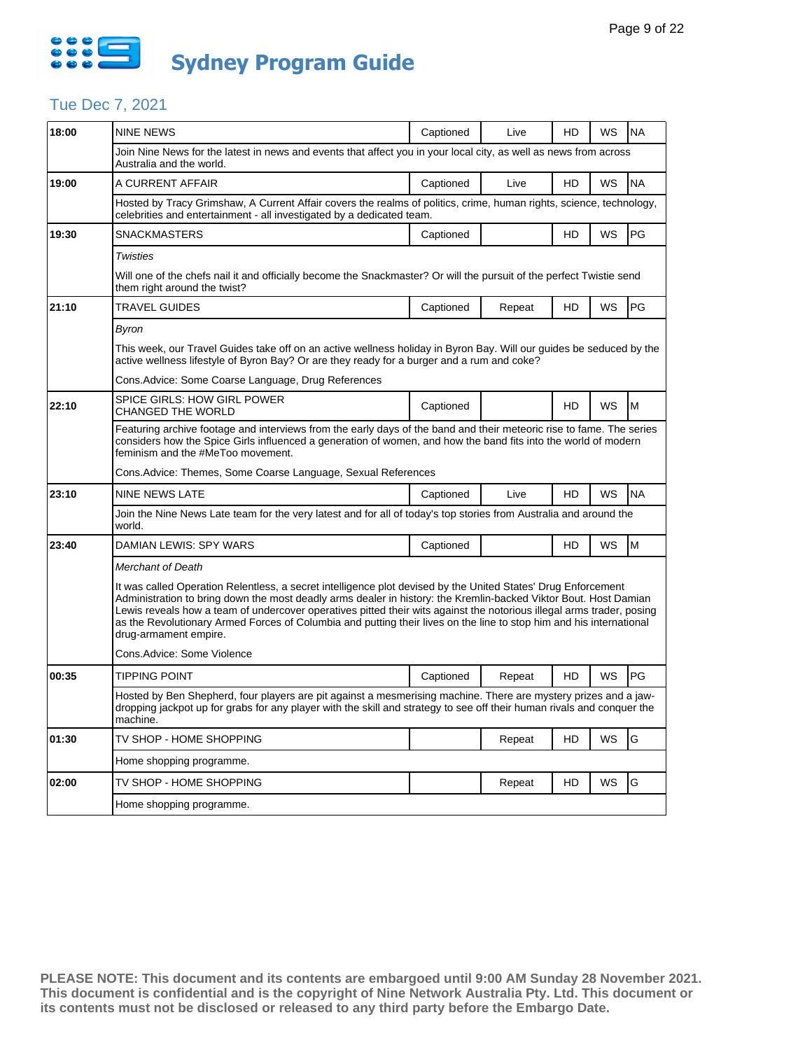

# Tue Dec 7, 2021

| 18:00 | <b>NINE NEWS</b>                                                                                                                                                                                                                                                                                                                                                                                                                                                                                           | Captioned | Live   | HD        | WS        | <b>NA</b> |  |  |  |
|-------|------------------------------------------------------------------------------------------------------------------------------------------------------------------------------------------------------------------------------------------------------------------------------------------------------------------------------------------------------------------------------------------------------------------------------------------------------------------------------------------------------------|-----------|--------|-----------|-----------|-----------|--|--|--|
|       | Join Nine News for the latest in news and events that affect you in your local city, as well as news from across<br>Australia and the world.                                                                                                                                                                                                                                                                                                                                                               |           |        |           |           |           |  |  |  |
| 19:00 | A CURRENT AFFAIR                                                                                                                                                                                                                                                                                                                                                                                                                                                                                           | Captioned | Live   | HD        | WS        | <b>NA</b> |  |  |  |
|       | Hosted by Tracy Grimshaw, A Current Affair covers the realms of politics, crime, human rights, science, technology,<br>celebrities and entertainment - all investigated by a dedicated team.                                                                                                                                                                                                                                                                                                               |           |        |           |           |           |  |  |  |
| 19:30 | <b>SNACKMASTERS</b>                                                                                                                                                                                                                                                                                                                                                                                                                                                                                        | Captioned |        | HD        | WS        | PG        |  |  |  |
|       | <b>Twisties</b>                                                                                                                                                                                                                                                                                                                                                                                                                                                                                            |           |        |           |           |           |  |  |  |
|       | Will one of the chefs nail it and officially become the Snackmaster? Or will the pursuit of the perfect Twistie send<br>them right around the twist?                                                                                                                                                                                                                                                                                                                                                       |           |        |           |           |           |  |  |  |
| 21:10 | TRAVEL GUIDES                                                                                                                                                                                                                                                                                                                                                                                                                                                                                              | Captioned | Repeat | HD        | WS        | PG        |  |  |  |
|       | Byron                                                                                                                                                                                                                                                                                                                                                                                                                                                                                                      |           |        |           |           |           |  |  |  |
|       | This week, our Travel Guides take off on an active wellness holiday in Byron Bay. Will our quides be seduced by the<br>active wellness lifestyle of Byron Bay? Or are they ready for a burger and a rum and coke?                                                                                                                                                                                                                                                                                          |           |        |           |           |           |  |  |  |
|       | Cons.Advice: Some Coarse Language, Drug References                                                                                                                                                                                                                                                                                                                                                                                                                                                         |           |        |           |           |           |  |  |  |
| 22:10 | <b>SPICE GIRLS: HOW GIRL POWER</b><br><b>CHANGED THE WORLD</b>                                                                                                                                                                                                                                                                                                                                                                                                                                             | Captioned |        | <b>HD</b> | WS        | M         |  |  |  |
|       | Featuring archive footage and interviews from the early days of the band and their meteoric rise to fame. The series<br>considers how the Spice Girls influenced a generation of women, and how the band fits into the world of modern<br>feminism and the #MeToo movement.                                                                                                                                                                                                                                |           |        |           |           |           |  |  |  |
|       | Cons.Advice: Themes, Some Coarse Language, Sexual References                                                                                                                                                                                                                                                                                                                                                                                                                                               |           |        |           |           |           |  |  |  |
| 23:10 | <b>NINE NEWS LATE</b>                                                                                                                                                                                                                                                                                                                                                                                                                                                                                      | Captioned | Live   | HD        | WS        | <b>NA</b> |  |  |  |
|       | Join the Nine News Late team for the very latest and for all of today's top stories from Australia and around the<br>world.                                                                                                                                                                                                                                                                                                                                                                                |           |        |           |           |           |  |  |  |
| 23:40 | DAMIAN LEWIS: SPY WARS                                                                                                                                                                                                                                                                                                                                                                                                                                                                                     | Captioned |        | HD        | WS        | M         |  |  |  |
|       | <b>Merchant of Death</b>                                                                                                                                                                                                                                                                                                                                                                                                                                                                                   |           |        |           |           |           |  |  |  |
|       | It was called Operation Relentless, a secret intelligence plot devised by the United States' Drug Enforcement<br>Administration to bring down the most deadly arms dealer in history: the Kremlin-backed Viktor Bout. Host Damian<br>Lewis reveals how a team of undercover operatives pitted their wits against the notorious illegal arms trader, posing<br>as the Revolutionary Armed Forces of Columbia and putting their lives on the line to stop him and his international<br>drug-armament empire. |           |        |           |           |           |  |  |  |
|       | Cons.Advice: Some Violence                                                                                                                                                                                                                                                                                                                                                                                                                                                                                 |           |        |           |           |           |  |  |  |
| 00:35 | <b>TIPPING POINT</b>                                                                                                                                                                                                                                                                                                                                                                                                                                                                                       | Captioned | Repeat | HD        | <b>WS</b> | PG        |  |  |  |
|       | Hosted by Ben Shepherd, four players are pit against a mesmerising machine. There are mystery prizes and a jaw-<br>dropping jackpot up for grabs for any player with the skill and strategy to see off their human rivals and conquer the<br>machine.                                                                                                                                                                                                                                                      |           |        |           |           |           |  |  |  |
| 01:30 | TV SHOP - HOME SHOPPING                                                                                                                                                                                                                                                                                                                                                                                                                                                                                    |           | Repeat | HD        | WS        | G         |  |  |  |
|       | Home shopping programme.                                                                                                                                                                                                                                                                                                                                                                                                                                                                                   |           |        |           |           |           |  |  |  |
| 02:00 | TV SHOP - HOME SHOPPING                                                                                                                                                                                                                                                                                                                                                                                                                                                                                    |           | Repeat | HD        | WS        | G         |  |  |  |
|       | Home shopping programme.                                                                                                                                                                                                                                                                                                                                                                                                                                                                                   |           |        |           |           |           |  |  |  |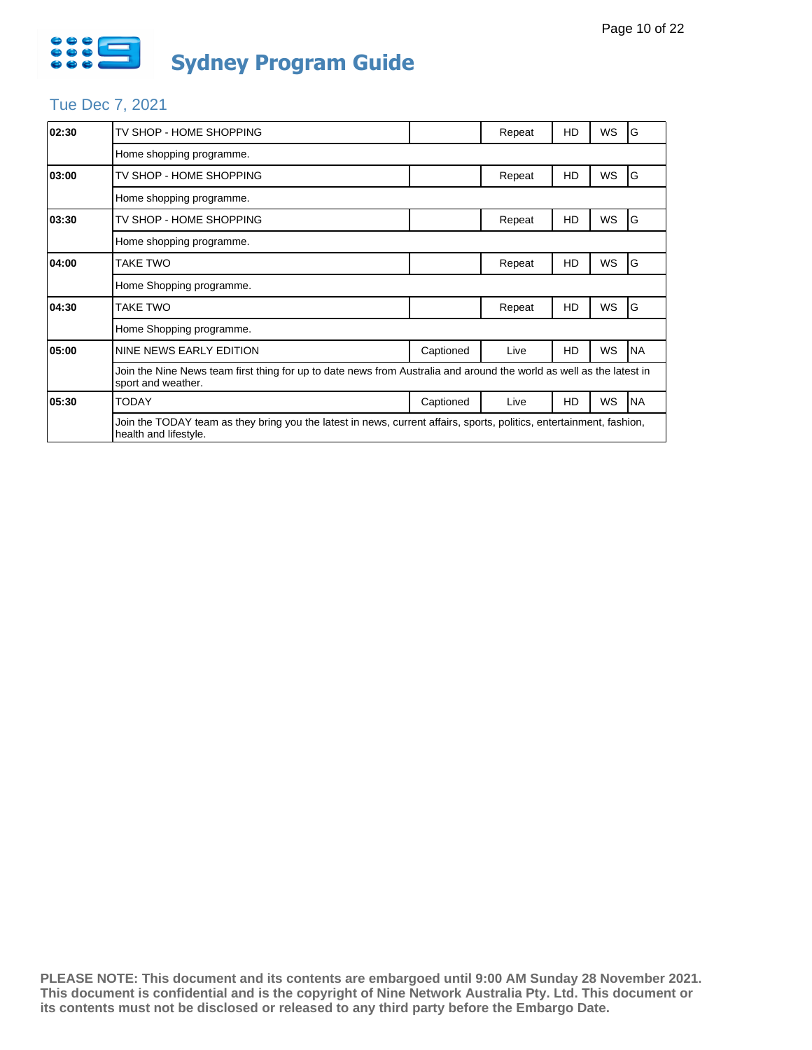

# Tue Dec 7, 2021

| 02:30 | TV SHOP - HOME SHOPPING                                                                                                                       |           | Repeat | HD | WS        | G         |  |  |
|-------|-----------------------------------------------------------------------------------------------------------------------------------------------|-----------|--------|----|-----------|-----------|--|--|
|       | Home shopping programme.                                                                                                                      |           |        |    |           |           |  |  |
| 03:00 | TV SHOP - HOME SHOPPING                                                                                                                       |           | Repeat | HD | WS        | G         |  |  |
|       | Home shopping programme.                                                                                                                      |           |        |    |           |           |  |  |
| 03:30 | TV SHOP - HOME SHOPPING                                                                                                                       |           | Repeat | HD | WS        | G         |  |  |
|       | Home shopping programme.                                                                                                                      |           |        |    |           |           |  |  |
| 04:00 | TAKE TWO                                                                                                                                      |           | Repeat | HD | <b>WS</b> | G         |  |  |
|       | Home Shopping programme.                                                                                                                      |           |        |    |           |           |  |  |
| 04:30 | TAKE TWO                                                                                                                                      |           | Repeat | HD | WS        | G         |  |  |
|       | Home Shopping programme.                                                                                                                      |           |        |    |           |           |  |  |
| 05:00 | NINE NEWS EARLY EDITION                                                                                                                       | Captioned | Live   | HD | WS        | <b>NA</b> |  |  |
|       | Join the Nine News team first thing for up to date news from Australia and around the world as well as the latest in<br>sport and weather.    |           |        |    |           |           |  |  |
| 05:30 | <b>TODAY</b>                                                                                                                                  | Captioned | Live   | HD | <b>WS</b> | <b>NA</b> |  |  |
|       | Join the TODAY team as they bring you the latest in news, current affairs, sports, politics, entertainment, fashion,<br>health and lifestyle. |           |        |    |           |           |  |  |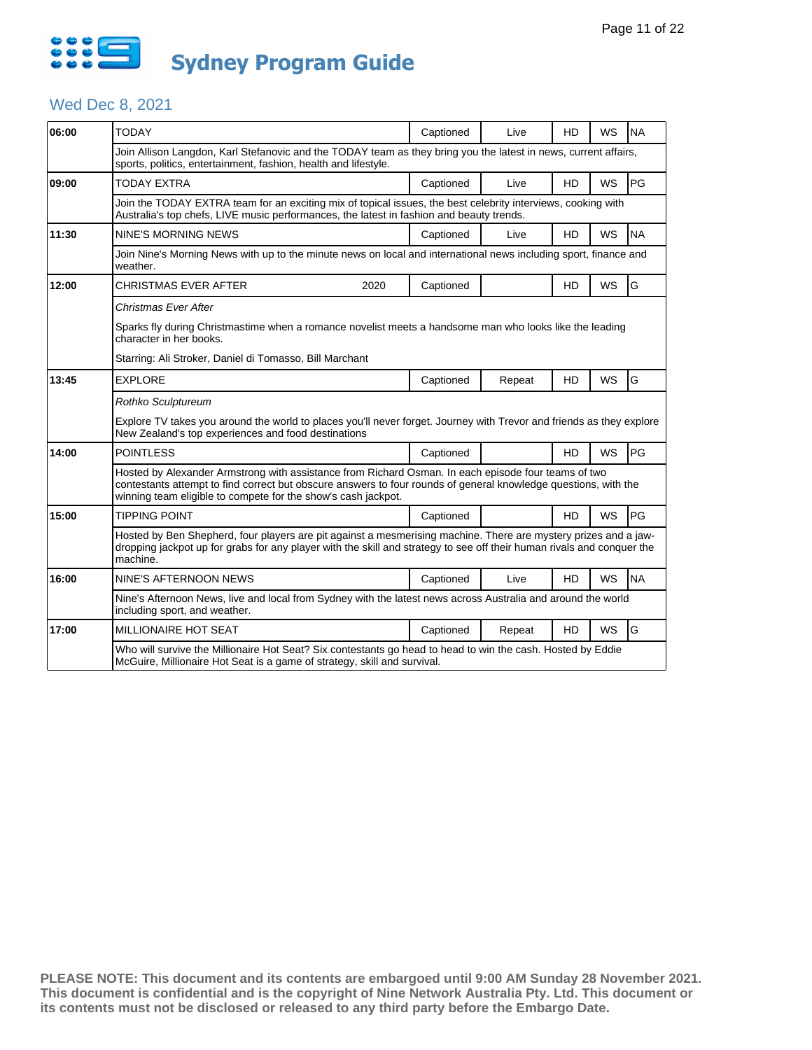

# Wed Dec 8, 2021

| 06:00 | <b>TODAY</b>                                                                                                                                                                                                                                                                            |                                                                                                              | Captioned | Live   | HD        | WS        | <b>NA</b> |  |  |
|-------|-----------------------------------------------------------------------------------------------------------------------------------------------------------------------------------------------------------------------------------------------------------------------------------------|--------------------------------------------------------------------------------------------------------------|-----------|--------|-----------|-----------|-----------|--|--|
|       |                                                                                                                                                                                                                                                                                         |                                                                                                              |           |        |           |           |           |  |  |
|       | Join Allison Langdon, Karl Stefanovic and the TODAY team as they bring you the latest in news, current affairs,<br>sports, politics, entertainment, fashion, health and lifestyle.                                                                                                      |                                                                                                              |           |        |           |           |           |  |  |
| 09:00 | <b>TODAY EXTRA</b>                                                                                                                                                                                                                                                                      |                                                                                                              | Captioned | Live   | <b>HD</b> | WS        | PG        |  |  |
|       | Join the TODAY EXTRA team for an exciting mix of topical issues, the best celebrity interviews, cooking with<br>Australia's top chefs, LIVE music performances, the latest in fashion and beauty trends.                                                                                |                                                                                                              |           |        |           |           |           |  |  |
| 11:30 | NINE'S MORNING NEWS                                                                                                                                                                                                                                                                     |                                                                                                              | Captioned | Live   | HD        | WS        | <b>NA</b> |  |  |
|       | Join Nine's Morning News with up to the minute news on local and international news including sport, finance and<br>weather.                                                                                                                                                            |                                                                                                              |           |        |           |           |           |  |  |
| 12:00 | <b>CHRISTMAS EVER AFTER</b>                                                                                                                                                                                                                                                             | 2020                                                                                                         | Captioned |        | <b>HD</b> | WS        | G         |  |  |
|       | Christmas Ever After                                                                                                                                                                                                                                                                    |                                                                                                              |           |        |           |           |           |  |  |
|       | Sparks fly during Christmastime when a romance novelist meets a handsome man who looks like the leading<br>character in her books.                                                                                                                                                      |                                                                                                              |           |        |           |           |           |  |  |
|       | Starring: Ali Stroker, Daniel di Tomasso, Bill Marchant                                                                                                                                                                                                                                 |                                                                                                              |           |        |           |           |           |  |  |
| 13:45 | <b>EXPLORE</b>                                                                                                                                                                                                                                                                          |                                                                                                              | Captioned | Repeat | HD        | WS        | G         |  |  |
|       | Rothko Sculptureum                                                                                                                                                                                                                                                                      |                                                                                                              |           |        |           |           |           |  |  |
|       | Explore TV takes you around the world to places you'll never forget. Journey with Trevor and friends as they explore<br>New Zealand's top experiences and food destinations                                                                                                             |                                                                                                              |           |        |           |           |           |  |  |
| 14:00 | <b>POINTLESS</b>                                                                                                                                                                                                                                                                        |                                                                                                              | Captioned |        | HD        | <b>WS</b> | PG        |  |  |
|       | Hosted by Alexander Armstrong with assistance from Richard Osman. In each episode four teams of two<br>contestants attempt to find correct but obscure answers to four rounds of general knowledge questions, with the<br>winning team eligible to compete for the show's cash jackpot. |                                                                                                              |           |        |           |           |           |  |  |
| 15:00 | <b>TIPPING POINT</b>                                                                                                                                                                                                                                                                    |                                                                                                              | Captioned |        | <b>HD</b> | <b>WS</b> | PG        |  |  |
|       | Hosted by Ben Shepherd, four players are pit against a mesmerising machine. There are mystery prizes and a jaw-<br>dropping jackpot up for grabs for any player with the skill and strategy to see off their human rivals and conquer the<br>machine.                                   |                                                                                                              |           |        |           |           |           |  |  |
| 16:00 | NINE'S AFTERNOON NEWS                                                                                                                                                                                                                                                                   |                                                                                                              | Captioned | Live   | <b>HD</b> | WS        | <b>NA</b> |  |  |
|       | including sport, and weather.                                                                                                                                                                                                                                                           | Nine's Afternoon News, live and local from Sydney with the latest news across Australia and around the world |           |        |           |           |           |  |  |
| 17:00 | MILLIONAIRE HOT SEAT                                                                                                                                                                                                                                                                    |                                                                                                              | Captioned | Repeat | <b>HD</b> | WS        | G         |  |  |
|       | Who will survive the Millionaire Hot Seat? Six contestants go head to head to win the cash. Hosted by Eddie<br>McGuire, Millionaire Hot Seat is a game of strategy, skill and survival.                                                                                                 |                                                                                                              |           |        |           |           |           |  |  |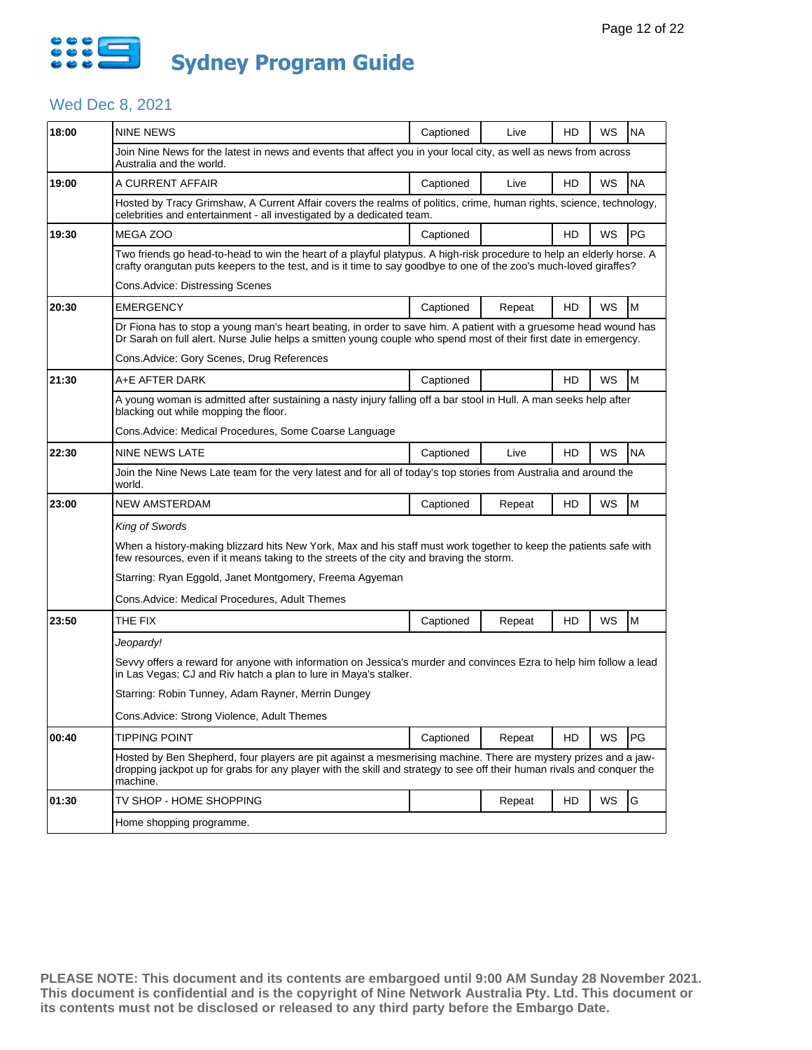

# Wed Dec 8, 2021

| 18:00 | <b>NINE NEWS</b>                                                                                                                                                                                                                                      | Captioned | Live   | HD | WS        | <b>NA</b> |  |  |  |
|-------|-------------------------------------------------------------------------------------------------------------------------------------------------------------------------------------------------------------------------------------------------------|-----------|--------|----|-----------|-----------|--|--|--|
|       | Join Nine News for the latest in news and events that affect you in your local city, as well as news from across<br>Australia and the world.                                                                                                          |           |        |    |           |           |  |  |  |
| 19:00 | A CURRENT AFFAIR                                                                                                                                                                                                                                      | Captioned | Live   | HD | WS        | <b>NA</b> |  |  |  |
|       | Hosted by Tracy Grimshaw, A Current Affair covers the realms of politics, crime, human rights, science, technology,<br>celebrities and entertainment - all investigated by a dedicated team.                                                          |           |        |    |           |           |  |  |  |
| 19:30 | MEGA ZOO                                                                                                                                                                                                                                              | Captioned |        | HD | WS        | PG        |  |  |  |
|       | Two friends go head-to-head to win the heart of a playful platypus. A high-risk procedure to help an elderly horse. A<br>crafty orangutan puts keepers to the test, and is it time to say goodbye to one of the zoo's much-loved giraffes?            |           |        |    |           |           |  |  |  |
|       | Cons.Advice: Distressing Scenes                                                                                                                                                                                                                       |           |        |    |           |           |  |  |  |
| 20:30 | <b>EMERGENCY</b>                                                                                                                                                                                                                                      | Captioned | Repeat | HD | <b>WS</b> | M         |  |  |  |
|       | Dr Fiona has to stop a young man's heart beating, in order to save him. A patient with a gruesome head wound has<br>Dr Sarah on full alert. Nurse Julie helps a smitten young couple who spend most of their first date in emergency.                 |           |        |    |           |           |  |  |  |
|       | Cons. Advice: Gory Scenes, Drug References                                                                                                                                                                                                            |           |        |    |           |           |  |  |  |
| 21:30 | A+E AFTER DARK                                                                                                                                                                                                                                        | Captioned |        | HD | WS        | M         |  |  |  |
|       | A young woman is admitted after sustaining a nasty injury falling off a bar stool in Hull. A man seeks help after<br>blacking out while mopping the floor.                                                                                            |           |        |    |           |           |  |  |  |
|       | Cons. Advice: Medical Procedures, Some Coarse Language                                                                                                                                                                                                |           |        |    |           |           |  |  |  |
| 22:30 | NINE NEWS LATE                                                                                                                                                                                                                                        | Captioned | Live   | HD | WS        | <b>NA</b> |  |  |  |
|       | Join the Nine News Late team for the very latest and for all of today's top stories from Australia and around the<br>world.                                                                                                                           |           |        |    |           |           |  |  |  |
| 23:00 | <b>NEW AMSTERDAM</b>                                                                                                                                                                                                                                  | Captioned | Repeat | HD | WS        | M         |  |  |  |
|       | King of Swords                                                                                                                                                                                                                                        |           |        |    |           |           |  |  |  |
|       | When a history-making blizzard hits New York, Max and his staff must work together to keep the patients safe with<br>few resources, even if it means taking to the streets of the city and braving the storm.                                         |           |        |    |           |           |  |  |  |
|       | Starring: Ryan Eggold, Janet Montgomery, Freema Agyeman                                                                                                                                                                                               |           |        |    |           |           |  |  |  |
|       | Cons.Advice: Medical Procedures, Adult Themes                                                                                                                                                                                                         |           |        |    |           |           |  |  |  |
| 23:50 | THE FIX                                                                                                                                                                                                                                               | Captioned | Repeat | HD | WS        | M         |  |  |  |
|       | Jeopardy!                                                                                                                                                                                                                                             |           |        |    |           |           |  |  |  |
|       | Sevvy offers a reward for anyone with information on Jessica's murder and convinces Ezra to help him follow a lead<br>in Las Vegas; CJ and Riv hatch a plan to lure in Maya's stalker.                                                                |           |        |    |           |           |  |  |  |
|       | Starring: Robin Tunney, Adam Rayner, Merrin Dungey                                                                                                                                                                                                    |           |        |    |           |           |  |  |  |
|       | Cons.Advice: Strong Violence, Adult Themes                                                                                                                                                                                                            |           |        |    |           |           |  |  |  |
| 00:40 | <b>TIPPING POINT</b>                                                                                                                                                                                                                                  | Captioned | Repeat | HD | WS        | PG        |  |  |  |
|       | Hosted by Ben Shepherd, four players are pit against a mesmerising machine. There are mystery prizes and a jaw-<br>dropping jackpot up for grabs for any player with the skill and strategy to see off their human rivals and conquer the<br>machine. |           |        |    |           |           |  |  |  |
| 01:30 | TV SHOP - HOME SHOPPING                                                                                                                                                                                                                               |           | Repeat | HD | WS        | G         |  |  |  |
|       | Home shopping programme.                                                                                                                                                                                                                              |           |        |    |           |           |  |  |  |
|       |                                                                                                                                                                                                                                                       |           |        |    |           |           |  |  |  |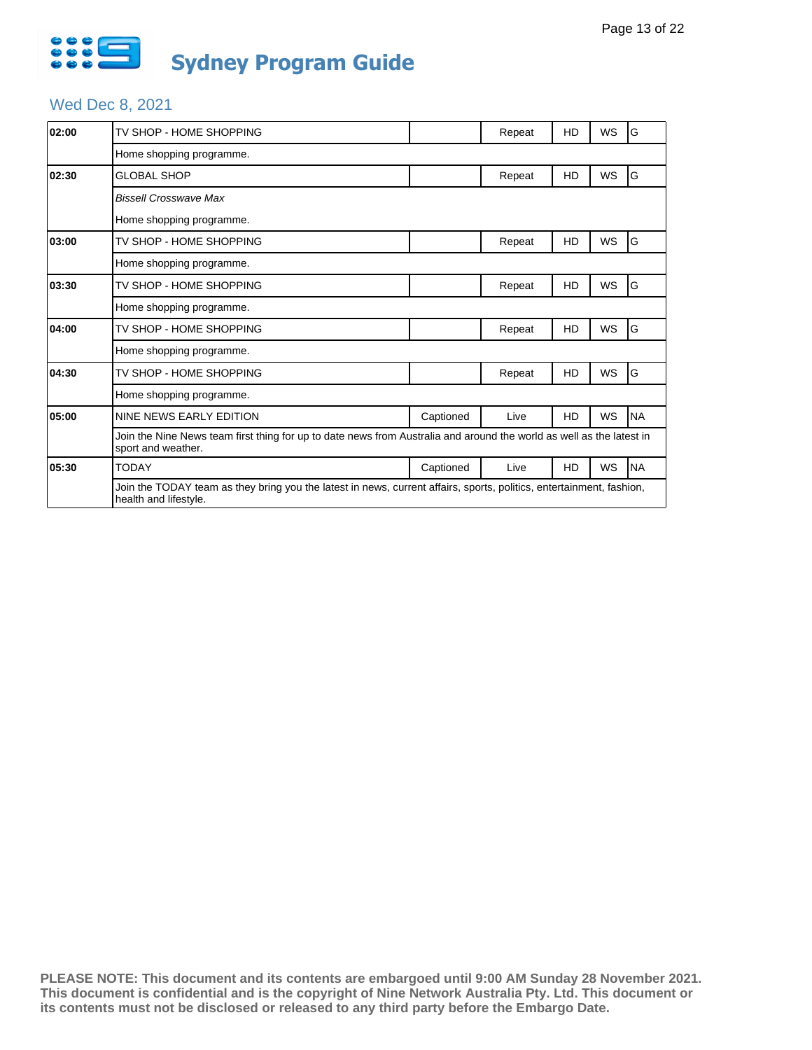

# Wed Dec 8, 2021

| 02:00 | TV SHOP - HOME SHOPPING                                                                                                                       |           | Repeat | HD | WS        | G         |  |  |  |  |
|-------|-----------------------------------------------------------------------------------------------------------------------------------------------|-----------|--------|----|-----------|-----------|--|--|--|--|
|       | Home shopping programme.                                                                                                                      |           |        |    |           |           |  |  |  |  |
| 02:30 | <b>GLOBAL SHOP</b>                                                                                                                            |           | Repeat | HD | WS        | G         |  |  |  |  |
|       | <b>Bissell Crosswave Max</b>                                                                                                                  |           |        |    |           |           |  |  |  |  |
|       | Home shopping programme.                                                                                                                      |           |        |    |           |           |  |  |  |  |
| 03:00 | TV SHOP - HOME SHOPPING                                                                                                                       |           | Repeat | HD | <b>WS</b> | G         |  |  |  |  |
|       | Home shopping programme.                                                                                                                      |           |        |    |           |           |  |  |  |  |
| 03:30 | TV SHOP - HOME SHOPPING                                                                                                                       |           | Repeat | HD | WS        | G         |  |  |  |  |
|       | Home shopping programme.                                                                                                                      |           |        |    |           |           |  |  |  |  |
| 04:00 | TV SHOP - HOME SHOPPING                                                                                                                       |           | Repeat | HD | WS        | G         |  |  |  |  |
|       | Home shopping programme.                                                                                                                      |           |        |    |           |           |  |  |  |  |
| 04:30 | TV SHOP - HOME SHOPPING                                                                                                                       |           | Repeat | HD | WS        | G         |  |  |  |  |
|       | Home shopping programme.                                                                                                                      |           |        |    |           |           |  |  |  |  |
| 05:00 | NINE NEWS EARLY EDITION                                                                                                                       | Captioned | Live   | HD | WS        | <b>NA</b> |  |  |  |  |
|       | Join the Nine News team first thing for up to date news from Australia and around the world as well as the latest in<br>sport and weather.    |           |        |    |           |           |  |  |  |  |
| 05:30 | <b>TODAY</b>                                                                                                                                  | Captioned | Live   | HD | WS        | <b>NA</b> |  |  |  |  |
|       | Join the TODAY team as they bring you the latest in news, current affairs, sports, politics, entertainment, fashion,<br>health and lifestyle. |           |        |    |           |           |  |  |  |  |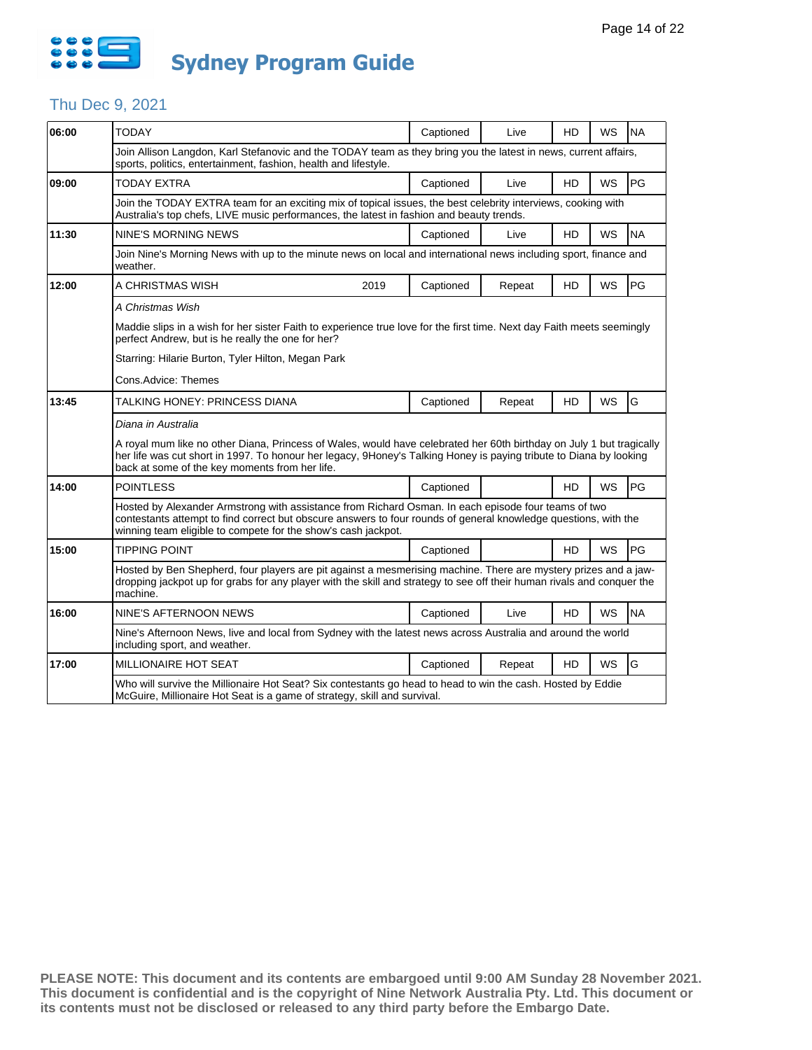

### Thu Dec 9, 2021

| 06:00 | <b>TODAY</b>                                                                                                                                                                                                                                                                                 | Captioned                                                                                                    |  | Live   | HD        | <b>WS</b> | <b>NA</b> |  |  |  |
|-------|----------------------------------------------------------------------------------------------------------------------------------------------------------------------------------------------------------------------------------------------------------------------------------------------|--------------------------------------------------------------------------------------------------------------|--|--------|-----------|-----------|-----------|--|--|--|
|       | Join Allison Langdon, Karl Stefanovic and the TODAY team as they bring you the latest in news, current affairs,<br>sports, politics, entertainment, fashion, health and lifestyle.                                                                                                           |                                                                                                              |  |        |           |           |           |  |  |  |
| 09:00 | <b>TODAY EXTRA</b>                                                                                                                                                                                                                                                                           | Captioned                                                                                                    |  | Live   | HD        | WS        | PG        |  |  |  |
|       | Join the TODAY EXTRA team for an exciting mix of topical issues, the best celebrity interviews, cooking with<br>Australia's top chefs, LIVE music performances, the latest in fashion and beauty trends.                                                                                     |                                                                                                              |  |        |           |           |           |  |  |  |
| 11:30 | <b>NINE'S MORNING NEWS</b>                                                                                                                                                                                                                                                                   | Captioned                                                                                                    |  | Live   | HD        | <b>WS</b> | <b>NA</b> |  |  |  |
|       | Join Nine's Morning News with up to the minute news on local and international news including sport, finance and<br>weather.                                                                                                                                                                 |                                                                                                              |  |        |           |           |           |  |  |  |
| 12:00 | A CHRISTMAS WISH<br>2019                                                                                                                                                                                                                                                                     | Captioned                                                                                                    |  | Repeat | HD        | <b>WS</b> | PG        |  |  |  |
|       | A Christmas Wish                                                                                                                                                                                                                                                                             |                                                                                                              |  |        |           |           |           |  |  |  |
|       | Maddie slips in a wish for her sister Faith to experience true love for the first time. Next day Faith meets seemingly<br>perfect Andrew, but is he really the one for her?                                                                                                                  |                                                                                                              |  |        |           |           |           |  |  |  |
|       | Starring: Hilarie Burton, Tyler Hilton, Megan Park                                                                                                                                                                                                                                           |                                                                                                              |  |        |           |           |           |  |  |  |
|       | Cons.Advice: Themes                                                                                                                                                                                                                                                                          |                                                                                                              |  |        |           |           |           |  |  |  |
| 13:45 | TALKING HONEY: PRINCESS DIANA                                                                                                                                                                                                                                                                | Captioned                                                                                                    |  | Repeat | HD        | WS        | G         |  |  |  |
|       | Diana in Australia                                                                                                                                                                                                                                                                           |                                                                                                              |  |        |           |           |           |  |  |  |
|       | A royal mum like no other Diana, Princess of Wales, would have celebrated her 60th birthday on July 1 but tragically<br>her life was cut short in 1997. To honour her legacy, 9Honey's Talking Honey is paying tribute to Diana by looking<br>back at some of the key moments from her life. |                                                                                                              |  |        |           |           |           |  |  |  |
| 14:00 | <b>POINTLESS</b>                                                                                                                                                                                                                                                                             | Captioned                                                                                                    |  |        | HD        | <b>WS</b> | PG        |  |  |  |
|       | Hosted by Alexander Armstrong with assistance from Richard Osman. In each episode four teams of two<br>contestants attempt to find correct but obscure answers to four rounds of general knowledge questions, with the<br>winning team eligible to compete for the show's cash jackpot.      |                                                                                                              |  |        |           |           |           |  |  |  |
| 15:00 | <b>TIPPING POINT</b>                                                                                                                                                                                                                                                                         | Captioned                                                                                                    |  |        | HD        | <b>WS</b> | PG        |  |  |  |
|       | Hosted by Ben Shepherd, four players are pit against a mesmerising machine. There are mystery prizes and a jaw-<br>dropping jackpot up for grabs for any player with the skill and strategy to see off their human rivals and conquer the<br>machine.                                        |                                                                                                              |  |        |           |           |           |  |  |  |
| 16:00 | NINE'S AFTERNOON NEWS                                                                                                                                                                                                                                                                        | Captioned                                                                                                    |  | Live   | HD        | WS        | <b>NA</b> |  |  |  |
|       | including sport, and weather.                                                                                                                                                                                                                                                                | Nine's Afternoon News, live and local from Sydney with the latest news across Australia and around the world |  |        |           |           |           |  |  |  |
| 17:00 | <b>MILLIONAIRE HOT SEAT</b>                                                                                                                                                                                                                                                                  | Captioned                                                                                                    |  | Repeat | <b>HD</b> | <b>WS</b> | G         |  |  |  |
|       | Who will survive the Millionaire Hot Seat? Six contestants go head to head to win the cash. Hosted by Eddie<br>McGuire, Millionaire Hot Seat is a game of strategy, skill and survival.                                                                                                      |                                                                                                              |  |        |           |           |           |  |  |  |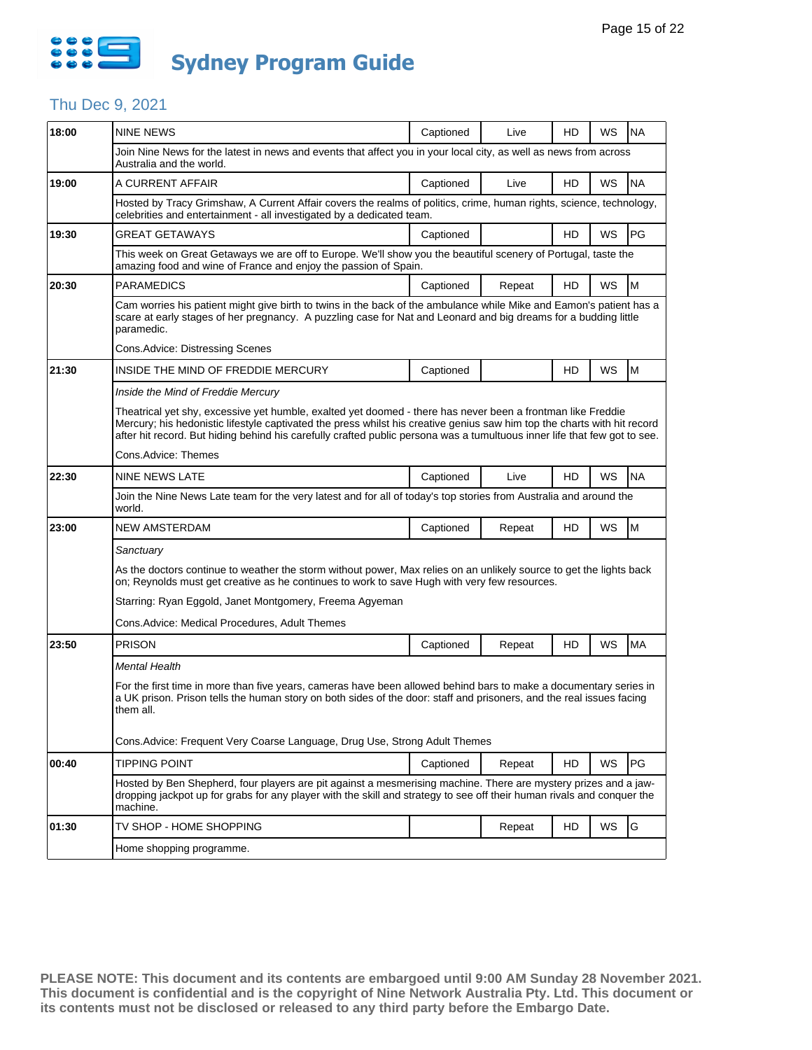

## Thu Dec 9, 2021

| 18:00 | <b>NINE NEWS</b>                                                                                                                                                                                                                                                                                                                                                     | Captioned | Live   | HD | WS | <b>NA</b> |  |  |  |  |  |
|-------|----------------------------------------------------------------------------------------------------------------------------------------------------------------------------------------------------------------------------------------------------------------------------------------------------------------------------------------------------------------------|-----------|--------|----|----|-----------|--|--|--|--|--|
|       | Join Nine News for the latest in news and events that affect you in your local city, as well as news from across<br>Australia and the world.                                                                                                                                                                                                                         |           |        |    |    |           |  |  |  |  |  |
| 19:00 | A CURRENT AFFAIR                                                                                                                                                                                                                                                                                                                                                     | Captioned | Live   | HD | WS | <b>NA</b> |  |  |  |  |  |
|       | Hosted by Tracy Grimshaw, A Current Affair covers the realms of politics, crime, human rights, science, technology,<br>celebrities and entertainment - all investigated by a dedicated team.                                                                                                                                                                         |           |        |    |    |           |  |  |  |  |  |
| 19:30 | <b>GREAT GETAWAYS</b>                                                                                                                                                                                                                                                                                                                                                | Captioned |        | HD | WS | PG        |  |  |  |  |  |
|       | This week on Great Getaways we are off to Europe. We'll show you the beautiful scenery of Portugal, taste the<br>amazing food and wine of France and enjoy the passion of Spain.                                                                                                                                                                                     |           |        |    |    |           |  |  |  |  |  |
| 20:30 | <b>PARAMEDICS</b>                                                                                                                                                                                                                                                                                                                                                    | Captioned | Repeat | HD | WS | M         |  |  |  |  |  |
|       | Cam worries his patient might give birth to twins in the back of the ambulance while Mike and Eamon's patient has a<br>scare at early stages of her pregnancy. A puzzling case for Nat and Leonard and big dreams for a budding little<br>paramedic.                                                                                                                 |           |        |    |    |           |  |  |  |  |  |
|       | Cons. Advice: Distressing Scenes                                                                                                                                                                                                                                                                                                                                     |           |        |    |    |           |  |  |  |  |  |
| 21:30 | INSIDE THE MIND OF FREDDIE MERCURY                                                                                                                                                                                                                                                                                                                                   | Captioned |        | HD | WS | M         |  |  |  |  |  |
|       | Inside the Mind of Freddie Mercury                                                                                                                                                                                                                                                                                                                                   |           |        |    |    |           |  |  |  |  |  |
|       | Theatrical yet shy, excessive yet humble, exalted yet doomed - there has never been a frontman like Freddie<br>Mercury; his hedonistic lifestyle captivated the press whilst his creative genius saw him top the charts with hit record<br>after hit record. But hiding behind his carefully crafted public persona was a tumultuous inner life that few got to see. |           |        |    |    |           |  |  |  |  |  |
|       | Cons.Advice: Themes                                                                                                                                                                                                                                                                                                                                                  |           |        |    |    |           |  |  |  |  |  |
| 22:30 | NINE NEWS LATE                                                                                                                                                                                                                                                                                                                                                       | Captioned | Live   | HD | WS | <b>NA</b> |  |  |  |  |  |
|       | Join the Nine News Late team for the very latest and for all of today's top stories from Australia and around the<br>world.                                                                                                                                                                                                                                          |           |        |    |    |           |  |  |  |  |  |
| 23:00 | <b>NEW AMSTERDAM</b>                                                                                                                                                                                                                                                                                                                                                 | Captioned | Repeat | HD | WS | M         |  |  |  |  |  |
|       | Sanctuary                                                                                                                                                                                                                                                                                                                                                            |           |        |    |    |           |  |  |  |  |  |
|       | As the doctors continue to weather the storm without power, Max relies on an unlikely source to get the lights back<br>on; Reynolds must get creative as he continues to work to save Hugh with very few resources.                                                                                                                                                  |           |        |    |    |           |  |  |  |  |  |
|       | Starring: Ryan Eggold, Janet Montgomery, Freema Agyeman                                                                                                                                                                                                                                                                                                              |           |        |    |    |           |  |  |  |  |  |
|       | Cons.Advice: Medical Procedures, Adult Themes                                                                                                                                                                                                                                                                                                                        |           |        |    |    |           |  |  |  |  |  |
| 23:50 | <b>PRISON</b>                                                                                                                                                                                                                                                                                                                                                        | Captioned | Repeat | HD | WS | <b>MA</b> |  |  |  |  |  |
|       | Mental Health                                                                                                                                                                                                                                                                                                                                                        |           |        |    |    |           |  |  |  |  |  |
|       | For the first time in more than five years, cameras have been allowed behind bars to make a documentary series in<br>a UK prison. Prison tells the human story on both sides of the door: staff and prisoners, and the real issues facing<br>them all.                                                                                                               |           |        |    |    |           |  |  |  |  |  |
|       | Cons. Advice: Frequent Very Coarse Language, Drug Use, Strong Adult Themes                                                                                                                                                                                                                                                                                           |           |        |    |    |           |  |  |  |  |  |
| 00:40 | <b>TIPPING POINT</b>                                                                                                                                                                                                                                                                                                                                                 | Captioned | Repeat | HD | WS | PG        |  |  |  |  |  |
|       | Hosted by Ben Shepherd, four players are pit against a mesmerising machine. There are mystery prizes and a jaw-<br>dropping jackpot up for grabs for any player with the skill and strategy to see off their human rivals and conquer the<br>machine.                                                                                                                |           |        |    |    |           |  |  |  |  |  |
| 01:30 | TV SHOP - HOME SHOPPING                                                                                                                                                                                                                                                                                                                                              |           | Repeat | HD | WS | G         |  |  |  |  |  |
|       | Home shopping programme.                                                                                                                                                                                                                                                                                                                                             |           |        |    |    |           |  |  |  |  |  |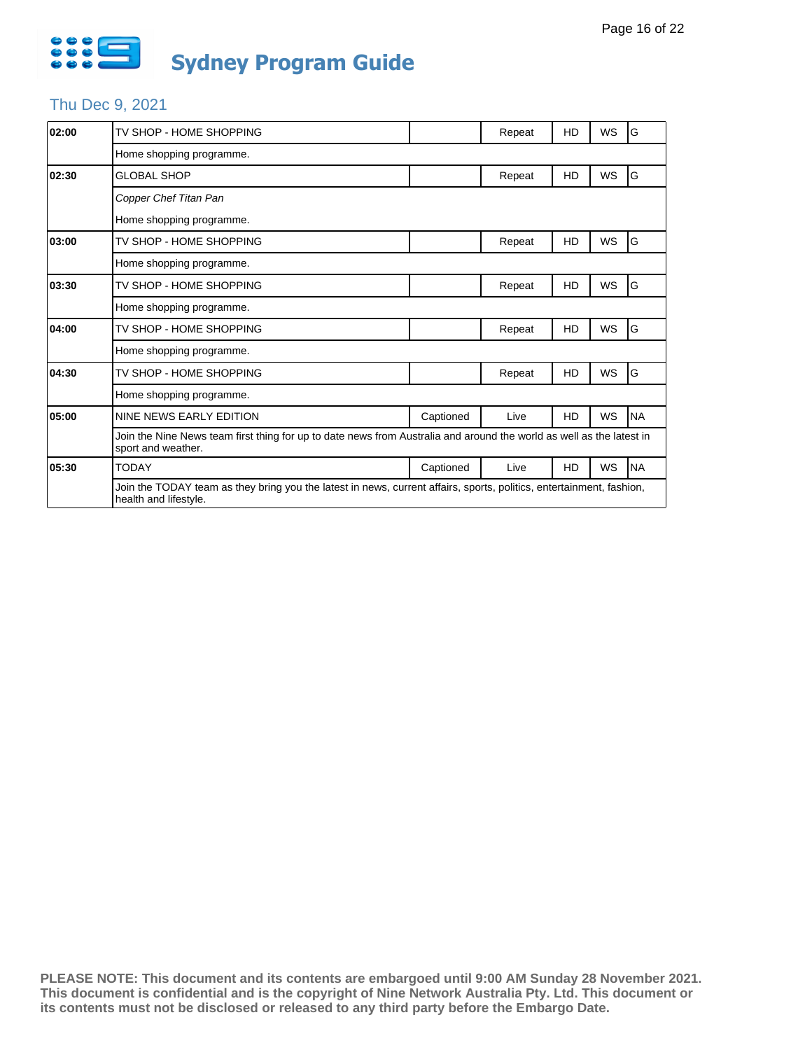

# Thu Dec 9, 2021

| 02:00 | TV SHOP - HOME SHOPPING                                                                                                                       |           | Repeat | HD | WS        | ١G        |  |  |  |  |
|-------|-----------------------------------------------------------------------------------------------------------------------------------------------|-----------|--------|----|-----------|-----------|--|--|--|--|
|       | Home shopping programme.                                                                                                                      |           |        |    |           |           |  |  |  |  |
| 02:30 | <b>GLOBAL SHOP</b>                                                                                                                            |           | Repeat | HD | WS        | G         |  |  |  |  |
|       | Copper Chef Titan Pan                                                                                                                         |           |        |    |           |           |  |  |  |  |
|       | Home shopping programme.                                                                                                                      |           |        |    |           |           |  |  |  |  |
| 03:00 | TV SHOP - HOME SHOPPING                                                                                                                       |           | Repeat | HD | <b>WS</b> | G         |  |  |  |  |
|       | Home shopping programme.                                                                                                                      |           |        |    |           |           |  |  |  |  |
| 03:30 | TV SHOP - HOME SHOPPING                                                                                                                       |           | Repeat | HD | WS        | G         |  |  |  |  |
|       | Home shopping programme.                                                                                                                      |           |        |    |           |           |  |  |  |  |
| 04:00 | TV SHOP - HOME SHOPPING                                                                                                                       |           | Repeat | HD | WS        | G         |  |  |  |  |
|       | Home shopping programme.                                                                                                                      |           |        |    |           |           |  |  |  |  |
| 04:30 | TV SHOP - HOME SHOPPING                                                                                                                       |           | Repeat | HD | WS        | G         |  |  |  |  |
|       | Home shopping programme.                                                                                                                      |           |        |    |           |           |  |  |  |  |
| 05:00 | NINE NEWS EARLY EDITION                                                                                                                       | Captioned | Live   | HD | WS        | <b>NA</b> |  |  |  |  |
|       | Join the Nine News team first thing for up to date news from Australia and around the world as well as the latest in<br>sport and weather.    |           |        |    |           |           |  |  |  |  |
| 05:30 | <b>TODAY</b>                                                                                                                                  | Captioned | Live   | HD | WS        | <b>NA</b> |  |  |  |  |
|       | Join the TODAY team as they bring you the latest in news, current affairs, sports, politics, entertainment, fashion,<br>health and lifestyle. |           |        |    |           |           |  |  |  |  |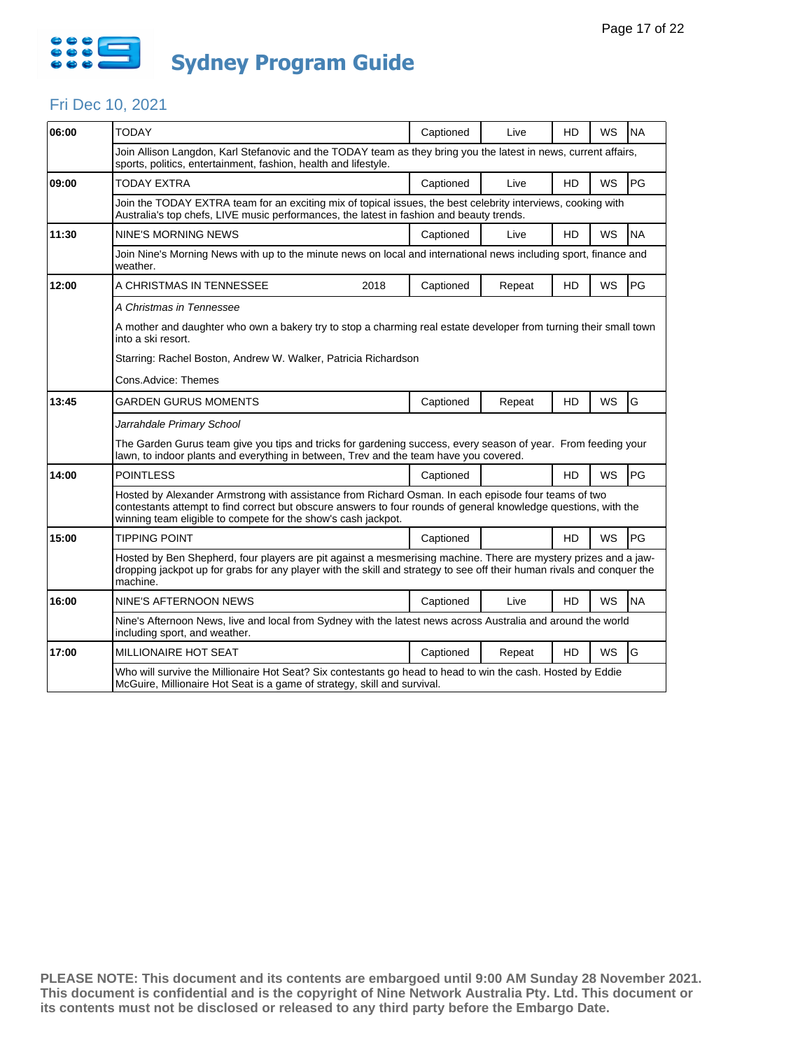

#### Fri Dec 10, 2021

| 06:00 | <b>TODAY</b>                                                                                                                                                                                                                                                                            | Captioned | Live   | HD        | <b>WS</b> | <b>NA</b> |  |  |  |  |
|-------|-----------------------------------------------------------------------------------------------------------------------------------------------------------------------------------------------------------------------------------------------------------------------------------------|-----------|--------|-----------|-----------|-----------|--|--|--|--|
|       | Join Allison Langdon, Karl Stefanovic and the TODAY team as they bring you the latest in news, current affairs,<br>sports, politics, entertainment, fashion, health and lifestyle.                                                                                                      |           |        |           |           |           |  |  |  |  |
| 09:00 | TODAY EXTRA                                                                                                                                                                                                                                                                             | Captioned | Live   | HD        | <b>WS</b> | PG        |  |  |  |  |
|       | Join the TODAY EXTRA team for an exciting mix of topical issues, the best celebrity interviews, cooking with<br>Australia's top chefs, LIVE music performances, the latest in fashion and beauty trends.                                                                                |           |        |           |           |           |  |  |  |  |
| 11:30 | NINE'S MORNING NEWS                                                                                                                                                                                                                                                                     | Captioned | Live   | HD        | WS        | <b>NA</b> |  |  |  |  |
|       | Join Nine's Morning News with up to the minute news on local and international news including sport, finance and<br>weather.                                                                                                                                                            |           |        |           |           |           |  |  |  |  |
| 12:00 | A CHRISTMAS IN TENNESSEE<br>2018                                                                                                                                                                                                                                                        | Captioned | Repeat | HD        | WS        | PG        |  |  |  |  |
|       | A Christmas in Tennessee                                                                                                                                                                                                                                                                |           |        |           |           |           |  |  |  |  |
|       | A mother and daughter who own a bakery try to stop a charming real estate developer from turning their small town<br>into a ski resort.                                                                                                                                                 |           |        |           |           |           |  |  |  |  |
|       | Starring: Rachel Boston, Andrew W. Walker, Patricia Richardson                                                                                                                                                                                                                          |           |        |           |           |           |  |  |  |  |
|       | Cons.Advice: Themes                                                                                                                                                                                                                                                                     |           |        |           |           |           |  |  |  |  |
| 13:45 | GARDEN GURUS MOMENTS                                                                                                                                                                                                                                                                    | Captioned | Repeat | HD        | <b>WS</b> | G         |  |  |  |  |
|       | Jarrahdale Primary School                                                                                                                                                                                                                                                               |           |        |           |           |           |  |  |  |  |
|       | The Garden Gurus team give you tips and tricks for gardening success, every season of year. From feeding your<br>lawn, to indoor plants and everything in between, Trev and the team have you covered.                                                                                  |           |        |           |           |           |  |  |  |  |
| 14:00 | <b>POINTLESS</b>                                                                                                                                                                                                                                                                        | Captioned |        | <b>HD</b> | <b>WS</b> | PG        |  |  |  |  |
|       | Hosted by Alexander Armstrong with assistance from Richard Osman. In each episode four teams of two<br>contestants attempt to find correct but obscure answers to four rounds of general knowledge questions, with the<br>winning team eligible to compete for the show's cash jackpot. |           |        |           |           |           |  |  |  |  |
| 15:00 | <b>TIPPING POINT</b>                                                                                                                                                                                                                                                                    | Captioned |        | HD        | <b>WS</b> | PG        |  |  |  |  |
|       | Hosted by Ben Shepherd, four players are pit against a mesmerising machine. There are mystery prizes and a jaw-<br>dropping jackpot up for grabs for any player with the skill and strategy to see off their human rivals and conquer the<br>machine.                                   |           |        |           |           |           |  |  |  |  |
| 16:00 | NINE'S AFTERNOON NEWS                                                                                                                                                                                                                                                                   | Captioned | Live   | <b>HD</b> | <b>WS</b> | <b>NA</b> |  |  |  |  |
|       | Nine's Afternoon News, live and local from Sydney with the latest news across Australia and around the world<br>including sport, and weather.                                                                                                                                           |           |        |           |           |           |  |  |  |  |
| 17:00 | MILLIONAIRE HOT SEAT                                                                                                                                                                                                                                                                    | Captioned | Repeat | HD        | <b>WS</b> | G         |  |  |  |  |
|       | Who will survive the Millionaire Hot Seat? Six contestants go head to head to win the cash. Hosted by Eddie<br>McGuire, Millionaire Hot Seat is a game of strategy, skill and survival.                                                                                                 |           |        |           |           |           |  |  |  |  |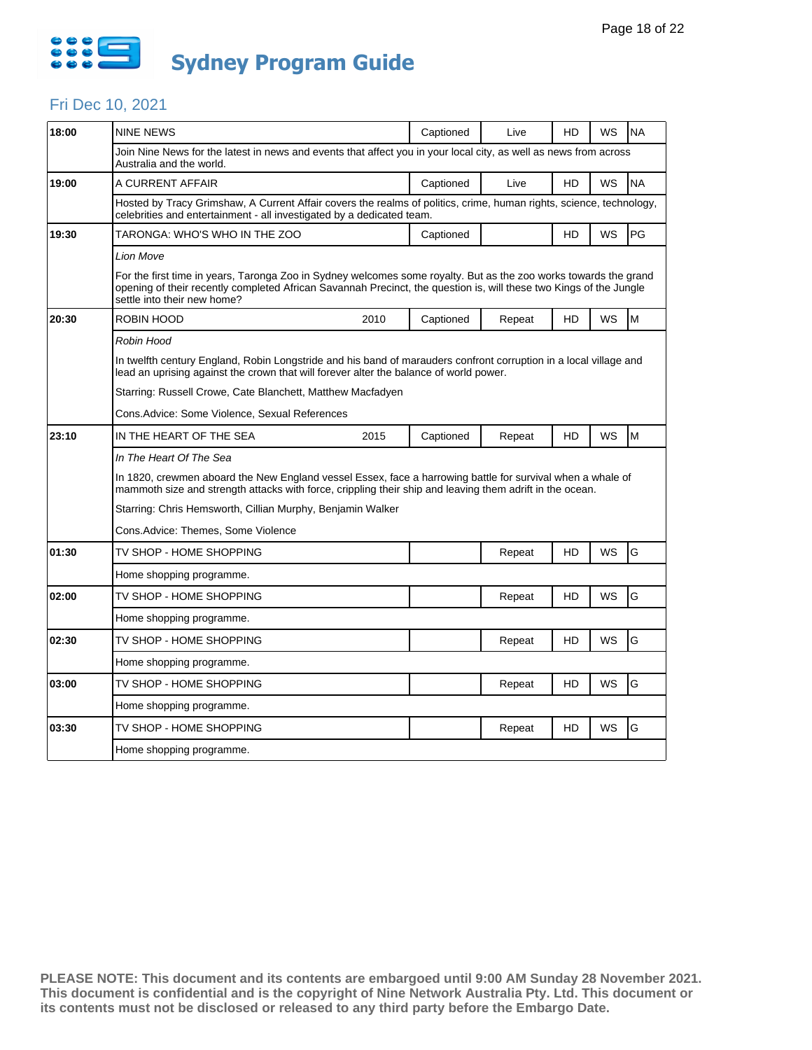

### Fri Dec 10, 2021

| 18:00 | NINE NEWS                                                                                                                                                                                                                                                             |      | Captioned | Live   | HD | WS        | <b>NA</b> |  |  |  |
|-------|-----------------------------------------------------------------------------------------------------------------------------------------------------------------------------------------------------------------------------------------------------------------------|------|-----------|--------|----|-----------|-----------|--|--|--|
|       | Join Nine News for the latest in news and events that affect you in your local city, as well as news from across<br>Australia and the world.                                                                                                                          |      |           |        |    |           |           |  |  |  |
| 19:00 | A CURRENT AFFAIR                                                                                                                                                                                                                                                      |      | Captioned | Live   | HD | WS        | <b>NA</b> |  |  |  |
|       | Hosted by Tracy Grimshaw, A Current Affair covers the realms of politics, crime, human rights, science, technology,<br>celebrities and entertainment - all investigated by a dedicated team.                                                                          |      |           |        |    |           |           |  |  |  |
| 19:30 | TARONGA: WHO'S WHO IN THE ZOO                                                                                                                                                                                                                                         |      | Captioned |        | HD | WS        | PG        |  |  |  |
|       | Lion Move                                                                                                                                                                                                                                                             |      |           |        |    |           |           |  |  |  |
|       | For the first time in years, Taronga Zoo in Sydney welcomes some royalty. But as the zoo works towards the grand<br>opening of their recently completed African Savannah Precinct, the question is, will these two Kings of the Jungle<br>settle into their new home? |      |           |        |    |           |           |  |  |  |
| 20:30 | ROBIN HOOD                                                                                                                                                                                                                                                            | 2010 | Captioned | Repeat | HD | WS        | M         |  |  |  |
|       | Robin Hood                                                                                                                                                                                                                                                            |      |           |        |    |           |           |  |  |  |
|       | In twelfth century England, Robin Longstride and his band of marauders confront corruption in a local village and<br>lead an uprising against the crown that will forever alter the balance of world power.                                                           |      |           |        |    |           |           |  |  |  |
|       | Starring: Russell Crowe, Cate Blanchett, Matthew Macfadyen                                                                                                                                                                                                            |      |           |        |    |           |           |  |  |  |
|       | Cons. Advice: Some Violence, Sexual References                                                                                                                                                                                                                        |      |           |        |    |           |           |  |  |  |
| 23:10 | IN THE HEART OF THE SEA                                                                                                                                                                                                                                               | 2015 | Captioned | Repeat | HD | WS        | M         |  |  |  |
|       | In The Heart Of The Sea                                                                                                                                                                                                                                               |      |           |        |    |           |           |  |  |  |
|       | In 1820, crewmen aboard the New England vessel Essex, face a harrowing battle for survival when a whale of<br>mammoth size and strength attacks with force, crippling their ship and leaving them adrift in the ocean.                                                |      |           |        |    |           |           |  |  |  |
|       | Starring: Chris Hemsworth, Cillian Murphy, Benjamin Walker                                                                                                                                                                                                            |      |           |        |    |           |           |  |  |  |
|       | Cons. Advice: Themes, Some Violence                                                                                                                                                                                                                                   |      |           |        |    |           |           |  |  |  |
| 01:30 | TV SHOP - HOME SHOPPING                                                                                                                                                                                                                                               |      |           | Repeat | HD | <b>WS</b> | G         |  |  |  |
|       | Home shopping programme.                                                                                                                                                                                                                                              |      |           |        |    |           |           |  |  |  |
| 02:00 | TV SHOP - HOME SHOPPING                                                                                                                                                                                                                                               |      |           | Repeat | HD | WS        | G         |  |  |  |
|       | Home shopping programme.                                                                                                                                                                                                                                              |      |           |        |    |           |           |  |  |  |
| 02:30 | TV SHOP - HOME SHOPPING                                                                                                                                                                                                                                               |      |           | Repeat | HD | WS        | G         |  |  |  |
|       | Home shopping programme.                                                                                                                                                                                                                                              |      |           |        |    |           |           |  |  |  |
| 03:00 | TV SHOP - HOME SHOPPING                                                                                                                                                                                                                                               |      |           | Repeat | HD | WS        | G         |  |  |  |
|       | Home shopping programme.                                                                                                                                                                                                                                              |      |           |        |    |           |           |  |  |  |
| 03:30 | TV SHOP - HOME SHOPPING                                                                                                                                                                                                                                               |      |           | Repeat | HD | WS        | G         |  |  |  |
|       | Home shopping programme.                                                                                                                                                                                                                                              |      |           |        |    |           |           |  |  |  |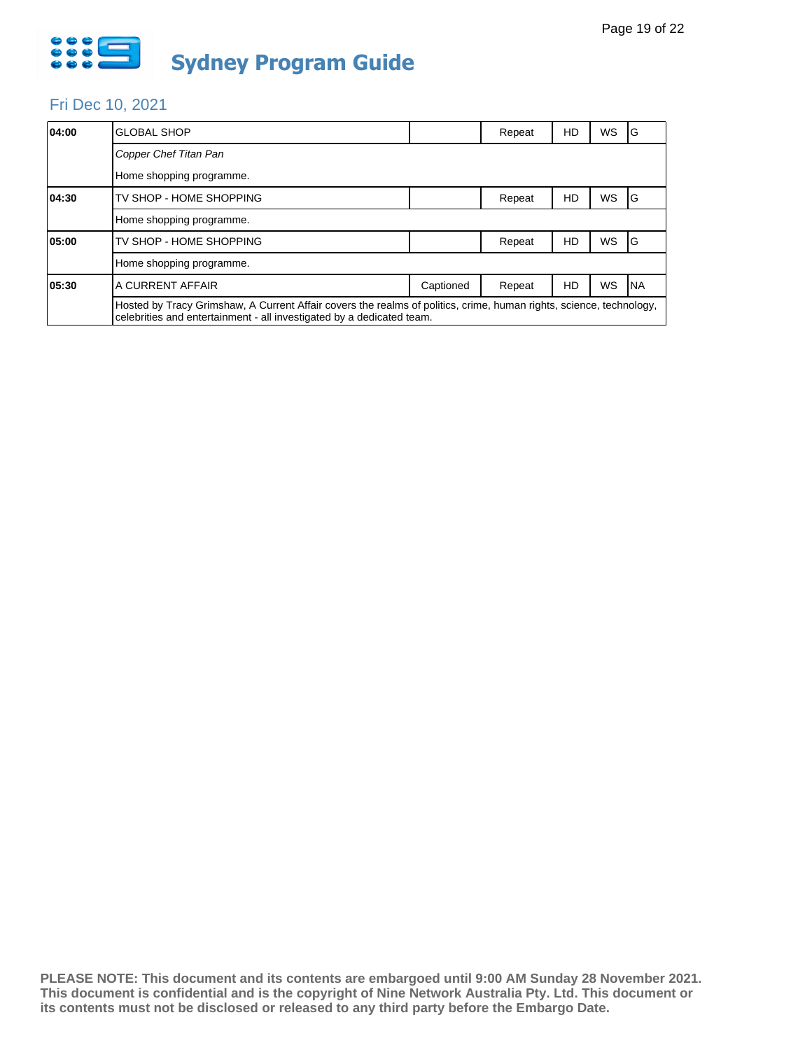

### Fri Dec 10, 2021

| 04:00 | <b>GLOBAL SHOP</b>                                                                                                                                                                           |           | Repeat | HD | <b>WS</b> | IG         |  |  |
|-------|----------------------------------------------------------------------------------------------------------------------------------------------------------------------------------------------|-----------|--------|----|-----------|------------|--|--|
|       | Copper Chef Titan Pan                                                                                                                                                                        |           |        |    |           |            |  |  |
|       | Home shopping programme.                                                                                                                                                                     |           |        |    |           |            |  |  |
| 04:30 | TV SHOP - HOME SHOPPING                                                                                                                                                                      |           | Repeat | HD | <b>WS</b> | IG         |  |  |
|       | Home shopping programme.                                                                                                                                                                     |           |        |    |           |            |  |  |
| 05:00 | TV SHOP - HOME SHOPPING                                                                                                                                                                      |           | Repeat | HD | <b>WS</b> | IG         |  |  |
|       | Home shopping programme.                                                                                                                                                                     |           |        |    |           |            |  |  |
| 05:30 | A CURRENT AFFAIR                                                                                                                                                                             | Captioned | Repeat | HD | WS        | <b>INA</b> |  |  |
|       | Hosted by Tracy Grimshaw, A Current Affair covers the realms of politics, crime, human rights, science, technology,<br>celebrities and entertainment - all investigated by a dedicated team. |           |        |    |           |            |  |  |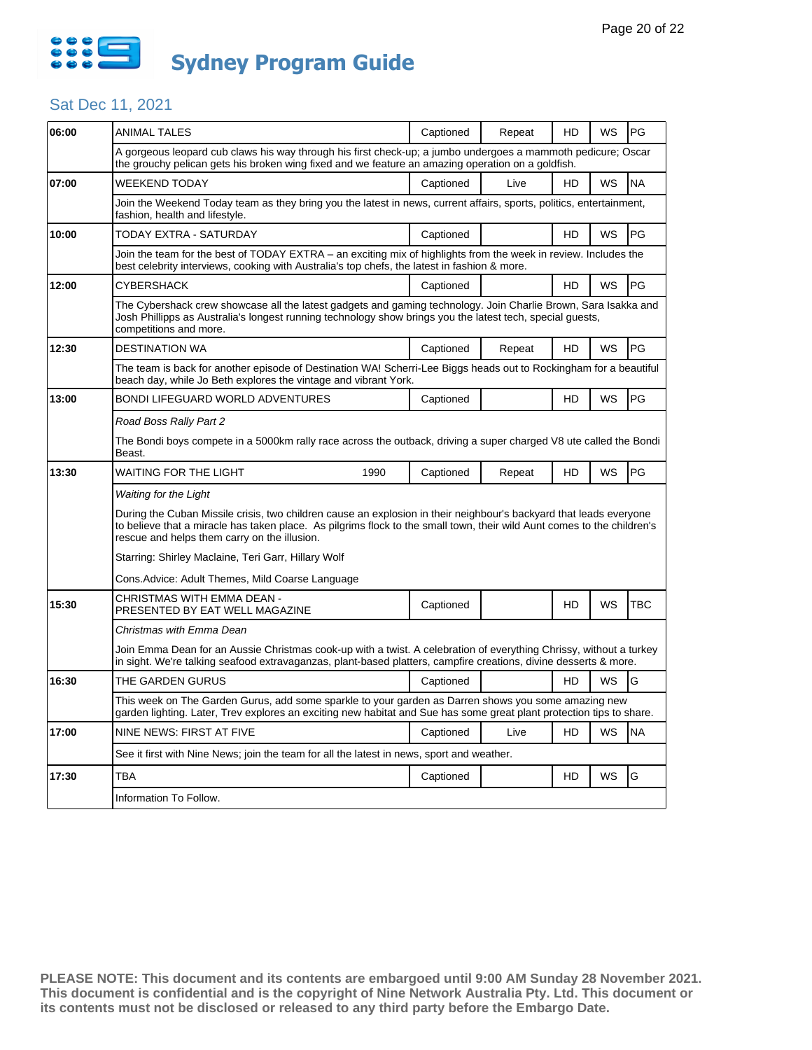

### Sat Dec 11, 2021

| <b>ANIMAL TALES</b>                                                                                                                                                                                                                                                                           | Captioned | Repeat                                                          | HD                                                                                        | WS                                                                                                | PG                                                                                                                                                                                                                                                                                                                                                                                                                                                               |  |  |  |  |
|-----------------------------------------------------------------------------------------------------------------------------------------------------------------------------------------------------------------------------------------------------------------------------------------------|-----------|-----------------------------------------------------------------|-------------------------------------------------------------------------------------------|---------------------------------------------------------------------------------------------------|------------------------------------------------------------------------------------------------------------------------------------------------------------------------------------------------------------------------------------------------------------------------------------------------------------------------------------------------------------------------------------------------------------------------------------------------------------------|--|--|--|--|
|                                                                                                                                                                                                                                                                                               |           |                                                                 |                                                                                           |                                                                                                   |                                                                                                                                                                                                                                                                                                                                                                                                                                                                  |  |  |  |  |
| WEEKEND TODAY                                                                                                                                                                                                                                                                                 | Captioned | Live                                                            | HD                                                                                        | WS                                                                                                | <b>NA</b>                                                                                                                                                                                                                                                                                                                                                                                                                                                        |  |  |  |  |
| Join the Weekend Today team as they bring you the latest in news, current affairs, sports, politics, entertainment,<br>fashion, health and lifestyle.                                                                                                                                         |           |                                                                 |                                                                                           |                                                                                                   |                                                                                                                                                                                                                                                                                                                                                                                                                                                                  |  |  |  |  |
| TODAY EXTRA - SATURDAY                                                                                                                                                                                                                                                                        | Captioned |                                                                 | HD                                                                                        | WS                                                                                                | PG                                                                                                                                                                                                                                                                                                                                                                                                                                                               |  |  |  |  |
| Join the team for the best of TODAY EXTRA – an exciting mix of highlights from the week in review. Includes the<br>best celebrity interviews, cooking with Australia's top chefs, the latest in fashion & more.                                                                               |           |                                                                 |                                                                                           |                                                                                                   |                                                                                                                                                                                                                                                                                                                                                                                                                                                                  |  |  |  |  |
| CYBERSHACK                                                                                                                                                                                                                                                                                    | Captioned |                                                                 | <b>HD</b>                                                                                 | <b>WS</b>                                                                                         | PG                                                                                                                                                                                                                                                                                                                                                                                                                                                               |  |  |  |  |
| competitions and more.                                                                                                                                                                                                                                                                        |           |                                                                 |                                                                                           |                                                                                                   |                                                                                                                                                                                                                                                                                                                                                                                                                                                                  |  |  |  |  |
| <b>DESTINATION WA</b>                                                                                                                                                                                                                                                                         | Captioned | Repeat                                                          | <b>HD</b>                                                                                 | WS                                                                                                | PG                                                                                                                                                                                                                                                                                                                                                                                                                                                               |  |  |  |  |
|                                                                                                                                                                                                                                                                                               |           |                                                                 |                                                                                           |                                                                                                   |                                                                                                                                                                                                                                                                                                                                                                                                                                                                  |  |  |  |  |
| <b>BONDI LIFEGUARD WORLD ADVENTURES</b>                                                                                                                                                                                                                                                       | Captioned |                                                                 | <b>HD</b>                                                                                 | WS                                                                                                | PG                                                                                                                                                                                                                                                                                                                                                                                                                                                               |  |  |  |  |
| Road Boss Rally Part 2                                                                                                                                                                                                                                                                        |           |                                                                 |                                                                                           |                                                                                                   |                                                                                                                                                                                                                                                                                                                                                                                                                                                                  |  |  |  |  |
| The Bondi boys compete in a 5000km rally race across the outback, driving a super charged V8 ute called the Bondi<br>Beast.                                                                                                                                                                   |           |                                                                 |                                                                                           |                                                                                                   |                                                                                                                                                                                                                                                                                                                                                                                                                                                                  |  |  |  |  |
| <b>WAITING FOR THE LIGHT</b><br>1990                                                                                                                                                                                                                                                          | Captioned | Repeat                                                          | HD                                                                                        | WS                                                                                                | PG                                                                                                                                                                                                                                                                                                                                                                                                                                                               |  |  |  |  |
| Waiting for the Light                                                                                                                                                                                                                                                                         |           |                                                                 |                                                                                           |                                                                                                   |                                                                                                                                                                                                                                                                                                                                                                                                                                                                  |  |  |  |  |
| During the Cuban Missile crisis, two children cause an explosion in their neighbour's backyard that leads everyone<br>to believe that a miracle has taken place. As pilgrims flock to the small town, their wild Aunt comes to the children's<br>rescue and helps them carry on the illusion. |           |                                                                 |                                                                                           |                                                                                                   |                                                                                                                                                                                                                                                                                                                                                                                                                                                                  |  |  |  |  |
| Starring: Shirley Maclaine, Teri Garr, Hillary Wolf                                                                                                                                                                                                                                           |           |                                                                 |                                                                                           |                                                                                                   |                                                                                                                                                                                                                                                                                                                                                                                                                                                                  |  |  |  |  |
| Cons. Advice: Adult Themes, Mild Coarse Language                                                                                                                                                                                                                                              |           |                                                                 |                                                                                           |                                                                                                   |                                                                                                                                                                                                                                                                                                                                                                                                                                                                  |  |  |  |  |
| CHRISTMAS WITH EMMA DEAN -<br>PRESENTED BY EAT WELL MAGAZINE                                                                                                                                                                                                                                  | Captioned |                                                                 | HD                                                                                        | <b>WS</b>                                                                                         | <b>TBC</b>                                                                                                                                                                                                                                                                                                                                                                                                                                                       |  |  |  |  |
| Christmas with Emma Dean                                                                                                                                                                                                                                                                      |           |                                                                 |                                                                                           |                                                                                                   |                                                                                                                                                                                                                                                                                                                                                                                                                                                                  |  |  |  |  |
| Join Emma Dean for an Aussie Christmas cook-up with a twist. A celebration of everything Chrissy, without a turkey<br>in sight. We're talking seafood extravaganzas, plant-based platters, campfire creations, divine desserts & more.                                                        |           |                                                                 |                                                                                           |                                                                                                   |                                                                                                                                                                                                                                                                                                                                                                                                                                                                  |  |  |  |  |
| THE GARDEN GURUS                                                                                                                                                                                                                                                                              | Captioned |                                                                 | <b>HD</b>                                                                                 | <b>WS</b>                                                                                         | G                                                                                                                                                                                                                                                                                                                                                                                                                                                                |  |  |  |  |
| This week on The Garden Gurus, add some sparkle to your garden as Darren shows you some amazing new<br>garden lighting. Later, Trev explores an exciting new habitat and Sue has some great plant protection tips to share.                                                                   |           |                                                                 |                                                                                           |                                                                                                   |                                                                                                                                                                                                                                                                                                                                                                                                                                                                  |  |  |  |  |
| NINE NEWS: FIRST AT FIVE                                                                                                                                                                                                                                                                      | Captioned | Live                                                            | HD                                                                                        | WS                                                                                                | <b>NA</b>                                                                                                                                                                                                                                                                                                                                                                                                                                                        |  |  |  |  |
|                                                                                                                                                                                                                                                                                               |           |                                                                 |                                                                                           |                                                                                                   |                                                                                                                                                                                                                                                                                                                                                                                                                                                                  |  |  |  |  |
| TBA                                                                                                                                                                                                                                                                                           | Captioned |                                                                 | HD                                                                                        | WS                                                                                                | G                                                                                                                                                                                                                                                                                                                                                                                                                                                                |  |  |  |  |
|                                                                                                                                                                                                                                                                                               |           |                                                                 |                                                                                           |                                                                                                   |                                                                                                                                                                                                                                                                                                                                                                                                                                                                  |  |  |  |  |
|                                                                                                                                                                                                                                                                                               |           | beach day, while Jo Beth explores the vintage and vibrant York. | See it first with Nine News; join the team for all the latest in news, sport and weather. | the grouchy pelican gets his broken wing fixed and we feature an amazing operation on a goldfish. | A gorgeous leopard cub claws his way through his first check-up; a jumbo undergoes a mammoth pedicure; Oscar<br>The Cybershack crew showcase all the latest gadgets and gaming technology. Join Charlie Brown, Sara Isakka and<br>Josh Phillipps as Australia's longest running technology show brings you the latest tech, special guests,<br>The team is back for another episode of Destination WA! Scherri-Lee Biggs heads out to Rockingham for a beautiful |  |  |  |  |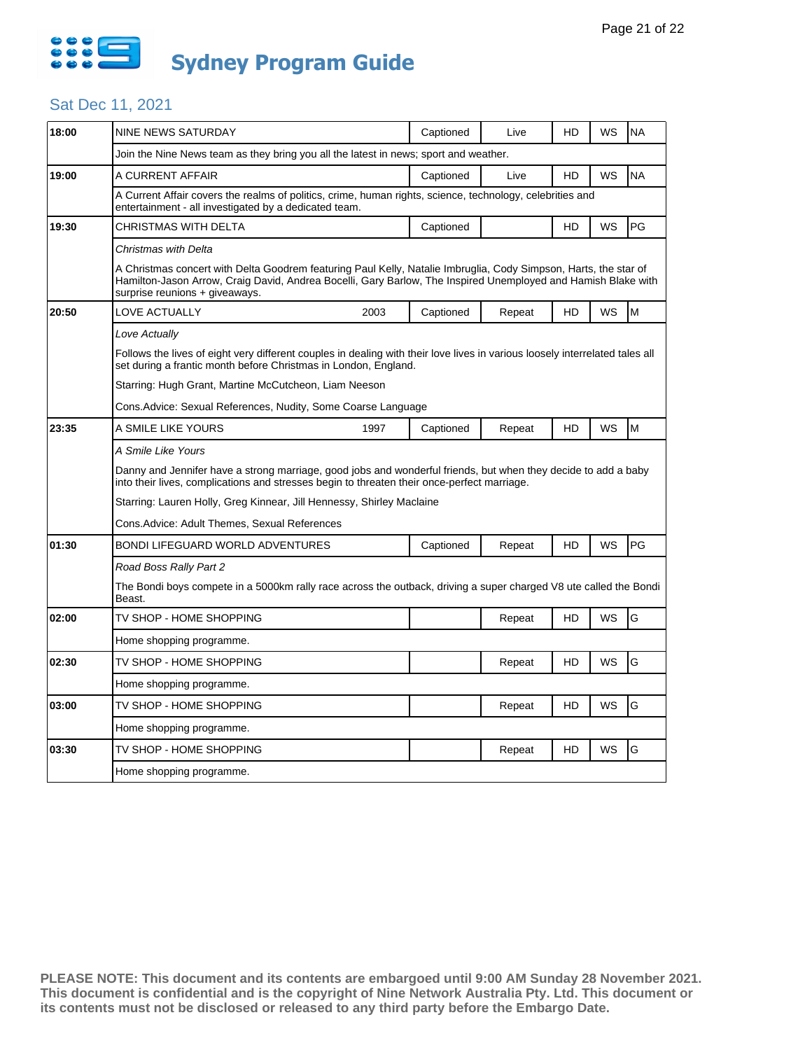

### Sat Dec 11, 2021

| 18:00 | NINE NEWS SATURDAY                                                                                                                                                                                                                                                  |      | Captioned | Live   | HD | WS | <b>NA</b> |  |  |  |
|-------|---------------------------------------------------------------------------------------------------------------------------------------------------------------------------------------------------------------------------------------------------------------------|------|-----------|--------|----|----|-----------|--|--|--|
|       | Join the Nine News team as they bring you all the latest in news; sport and weather.                                                                                                                                                                                |      |           |        |    |    |           |  |  |  |
| 19:00 | A CURRENT AFFAIR                                                                                                                                                                                                                                                    |      | Captioned | Live   | HD | WS | <b>NA</b> |  |  |  |
|       | A Current Affair covers the realms of politics, crime, human rights, science, technology, celebrities and<br>entertainment - all investigated by a dedicated team.                                                                                                  |      |           |        |    |    |           |  |  |  |
| 19:30 | CHRISTMAS WITH DELTA                                                                                                                                                                                                                                                |      | Captioned |        | HD | WS | <b>PG</b> |  |  |  |
|       | Christmas with Delta                                                                                                                                                                                                                                                |      |           |        |    |    |           |  |  |  |
|       | A Christmas concert with Delta Goodrem featuring Paul Kelly, Natalie Imbruglia, Cody Simpson, Harts, the star of<br>Hamilton-Jason Arrow, Craig David, Andrea Bocelli, Gary Barlow, The Inspired Unemployed and Hamish Blake with<br>surprise reunions + giveaways. |      |           |        |    |    |           |  |  |  |
| 20:50 | LOVE ACTUALLY                                                                                                                                                                                                                                                       | 2003 | Captioned | Repeat | HD | WS | lM.       |  |  |  |
|       | Love Actually                                                                                                                                                                                                                                                       |      |           |        |    |    |           |  |  |  |
|       | Follows the lives of eight very different couples in dealing with their love lives in various loosely interrelated tales all<br>set during a frantic month before Christmas in London, England.                                                                     |      |           |        |    |    |           |  |  |  |
|       | Starring: Hugh Grant, Martine McCutcheon, Liam Neeson                                                                                                                                                                                                               |      |           |        |    |    |           |  |  |  |
|       | Cons.Advice: Sexual References, Nudity, Some Coarse Language                                                                                                                                                                                                        |      |           |        |    |    |           |  |  |  |
| 23:35 | A SMILE LIKE YOURS                                                                                                                                                                                                                                                  | 1997 | Captioned | Repeat | HD | WS | M         |  |  |  |
|       | A Smile Like Yours                                                                                                                                                                                                                                                  |      |           |        |    |    |           |  |  |  |
|       | Danny and Jennifer have a strong marriage, good jobs and wonderful friends, but when they decide to add a baby<br>into their lives, complications and stresses begin to threaten their once-perfect marriage.                                                       |      |           |        |    |    |           |  |  |  |
|       | Starring: Lauren Holly, Greg Kinnear, Jill Hennessy, Shirley Maclaine                                                                                                                                                                                               |      |           |        |    |    |           |  |  |  |
|       | Cons. Advice: Adult Themes, Sexual References                                                                                                                                                                                                                       |      |           |        |    |    |           |  |  |  |
| 01:30 | <b>BONDI LIFEGUARD WORLD ADVENTURES</b>                                                                                                                                                                                                                             |      | Captioned | Repeat | HD | WS | <b>PG</b> |  |  |  |
|       | Road Boss Rally Part 2                                                                                                                                                                                                                                              |      |           |        |    |    |           |  |  |  |
|       | The Bondi boys compete in a 5000km rally race across the outback, driving a super charged V8 ute called the Bondi<br>Beast.                                                                                                                                         |      |           |        |    |    |           |  |  |  |
| 02:00 | TV SHOP - HOME SHOPPING                                                                                                                                                                                                                                             |      |           | Repeat | HD | WS | G         |  |  |  |
|       | Home shopping programme.                                                                                                                                                                                                                                            |      |           |        |    |    |           |  |  |  |
| 02:30 | TV SHOP - HOME SHOPPING                                                                                                                                                                                                                                             |      |           | Repeat | HD | WS | G         |  |  |  |
|       | Home shopping programme.                                                                                                                                                                                                                                            |      |           |        |    |    |           |  |  |  |
| 03:00 | TV SHOP - HOME SHOPPING                                                                                                                                                                                                                                             |      |           | Repeat | HD | WS | G         |  |  |  |
|       | Home shopping programme.                                                                                                                                                                                                                                            |      |           |        |    |    |           |  |  |  |
| 03:30 | TV SHOP - HOME SHOPPING                                                                                                                                                                                                                                             |      |           | Repeat | HD | WS | G         |  |  |  |
|       | Home shopping programme.                                                                                                                                                                                                                                            |      |           |        |    |    |           |  |  |  |
|       |                                                                                                                                                                                                                                                                     |      |           |        |    |    |           |  |  |  |